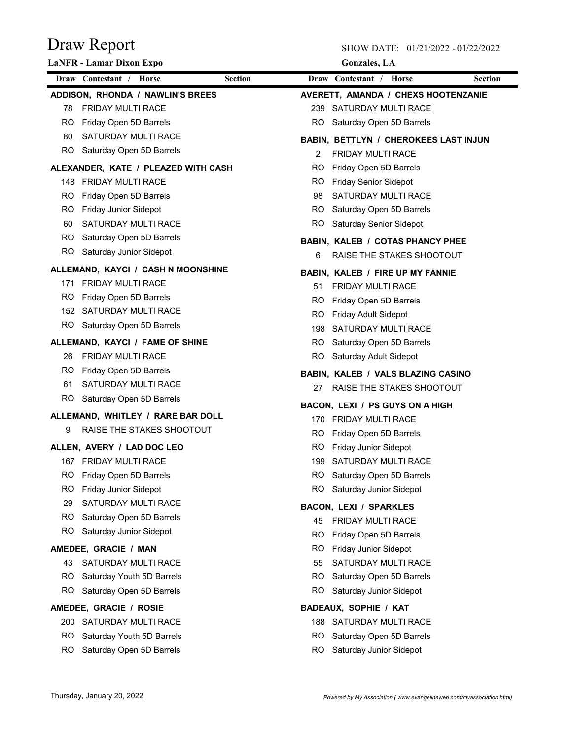|           | <b>LaNFR</b> - Lamar Dixon Expo     |                | <b>Gonzales</b> , LA                                     |                |
|-----------|-------------------------------------|----------------|----------------------------------------------------------|----------------|
|           | Draw Contestant / Horse             | <b>Section</b> | Draw Contestant / Horse                                  | <b>Section</b> |
|           | ADDISON, RHONDA / NAWLIN'S BREES    |                | AVERETT, AMANDA / CHEXS HOOTENZANIE                      |                |
| 78        | <b>FRIDAY MULTI RACE</b>            |                | 239 SATURDAY MULTI RACE                                  |                |
| RO.       | Friday Open 5D Barrels              |                | RO Saturday Open 5D Barrels                              |                |
| 80        | SATURDAY MULTI RACE                 |                | <b>BABIN, BETTLYN / CHEROKEES LAST INJUN</b>             |                |
|           | RO Saturday Open 5D Barrels         | 2              | <b>FRIDAY MULTI RACE</b>                                 |                |
|           | ALEXANDER, KATE / PLEAZED WITH CASH | RO.            | Friday Open 5D Barrels                                   |                |
|           | 148 FRIDAY MULTI RACE               | RO.            | <b>Friday Senior Sidepot</b>                             |                |
| RO.       | Friday Open 5D Barrels              | 98             | SATURDAY MULTI RACE                                      |                |
| RO.       | <b>Friday Junior Sidepot</b>        | RO.            | Saturday Open 5D Barrels                                 |                |
| 60        | SATURDAY MULTI RACE                 |                | RO Saturday Senior Sidepot                               |                |
| RO.       | Saturday Open 5D Barrels            |                | <b>BABIN. KALEB / COTAS PHANCY PHEE</b>                  |                |
|           | RO Saturday Junior Sidepot          | 6              | RAISE THE STAKES SHOOTOUT                                |                |
|           | ALLEMAND, KAYCI / CASH N MOONSHINE  |                | <b>BABIN, KALEB / FIRE UP MY FANNIE</b>                  |                |
|           | 171 FRIDAY MULTI RACE               | 51             | <b>FRIDAY MULTI RACE</b>                                 |                |
| RO.       | Friday Open 5D Barrels              | RO.            | Friday Open 5D Barrels                                   |                |
|           | 152 SATURDAY MULTI RACE             | RO.            | <b>Friday Adult Sidepot</b>                              |                |
|           | RO Saturday Open 5D Barrels         | 198            | SATURDAY MULTI RACE                                      |                |
|           | ALLEMAND, KAYCI / FAME OF SHINE     | RO.            | Saturday Open 5D Barrels                                 |                |
| 26        | <b>FRIDAY MULTI RACE</b>            | RO.            | Saturday Adult Sidepot                                   |                |
| RO.       | Friday Open 5D Barrels              |                | BABIN, KALEB / VALS BLAZING CASINO                       |                |
| 61        | <b>SATURDAY MULTI RACE</b>          | 27             | RAISE THE STAKES SHOOTOUT                                |                |
|           | RO Saturday Open 5D Barrels         |                |                                                          |                |
|           | ALLEMAND, WHITLEY / RARE BAR DOLL   |                | BACON, LEXI / PS GUYS ON A HIGH<br>170 FRIDAY MULTI RACE |                |
| 9         | RAISE THE STAKES SHOOTOUT           | RO.            | Friday Open 5D Barrels                                   |                |
|           | ALLEN, AVERY / LAD DOC LEO          |                | RO Friday Junior Sidepot                                 |                |
|           | 167 FRIDAY MULTI RACE               |                | 199 SATURDAY MULTI RACE                                  |                |
| <b>RO</b> | Friday Open 5D Barrels              | <b>RO</b>      | Saturday Open 5D Barrels                                 |                |
| RO.       | <b>Friday Junior Sidepot</b>        | RO.            | Saturday Junior Sidepot                                  |                |
| 29        | SATURDAY MULTI RACE                 |                |                                                          |                |
| RO.       | Saturday Open 5D Barrels            | 45             | <b>BACON, LEXI / SPARKLES</b><br>FRIDAY MULTI RACE       |                |
| RO.       | Saturday Junior Sidepot             | <b>RO</b>      | Friday Open 5D Barrels                                   |                |
|           | AMEDEE, GRACIE / MAN                | RO             | Friday Junior Sidepot                                    |                |
| 43        | SATURDAY MULTI RACE                 | 55             | SATURDAY MULTI RACE                                      |                |
| RO.       | Saturday Youth 5D Barrels           | RO.            | Saturday Open 5D Barrels                                 |                |
| RO.       | Saturday Open 5D Barrels            | <b>RO</b>      | Saturday Junior Sidepot                                  |                |
|           | AMEDEE, GRACIE / ROSIE              |                | <b>BADEAUX, SOPHIE / KAT</b>                             |                |
|           | 200 SATURDAY MULTI RACE             |                | 188 SATURDAY MULTI RACE                                  |                |
| RO        | Saturday Youth 5D Barrels           | RO             | Saturday Open 5D Barrels                                 |                |
|           | Saturday Open 5D Barrels            | RO             | Saturday Junior Sidepot                                  |                |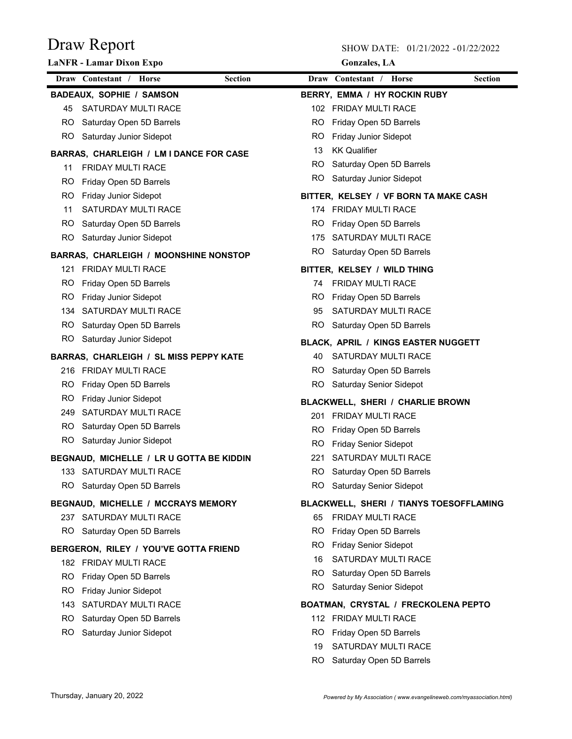|     | <b>LaNFR</b> - Lamar Dixon Expo              |                |           | <b>Gonzales</b> , LA                    |                |
|-----|----------------------------------------------|----------------|-----------|-----------------------------------------|----------------|
|     | Draw Contestant / Horse                      | <b>Section</b> |           | Draw Contestant / Horse                 | <b>Section</b> |
|     | <b>BADEAUX, SOPHIE / SAMSON</b>              |                |           | BERRY, EMMA / HY ROCKIN RUBY            |                |
| 45  | SATURDAY MULTI RACE                          |                |           | 102 FRIDAY MULTI RACE                   |                |
|     | RO Saturday Open 5D Barrels                  |                | RO.       | Friday Open 5D Barrels                  |                |
|     | RO Saturday Junior Sidepot                   |                | RO.       | Friday Junior Sidepot                   |                |
|     | BARRAS, CHARLEIGH / LM I DANCE FOR CASE      |                | 13        | <b>KK Qualifier</b>                     |                |
| 11  | <b>FRIDAY MULTI RACE</b>                     |                | RO.       | Saturday Open 5D Barrels                |                |
|     | RO Friday Open 5D Barrels                    |                | RO.       | Saturday Junior Sidepot                 |                |
|     | RO Friday Junior Sidepot                     |                |           | BITTER, KELSEY / VF BORN TA MAKE CASH   |                |
| 11  | <b>SATURDAY MULTI RACE</b>                   |                |           | 174 FRIDAY MULTI RACE                   |                |
|     | RO Saturday Open 5D Barrels                  |                | RO.       | Friday Open 5D Barrels                  |                |
|     | RO Saturday Junior Sidepot                   |                |           | 175 SATURDAY MULTI RACE                 |                |
|     | <b>BARRAS, CHARLEIGH / MOONSHINE NONSTOP</b> |                |           | RO Saturday Open 5D Barrels             |                |
|     | 121 FRIDAY MULTI RACE                        |                |           | BITTER, KELSEY / WILD THING             |                |
|     | RO Friday Open 5D Barrels                    |                | 74        | <b>FRIDAY MULTI RACE</b>                |                |
| RO. | <b>Friday Junior Sidepot</b>                 |                | RO.       | Friday Open 5D Barrels                  |                |
|     | 134 SATURDAY MULTI RACE                      |                | 95        | SATURDAY MULTI RACE                     |                |
|     | RO Saturday Open 5D Barrels                  |                | RO.       | Saturday Open 5D Barrels                |                |
|     | RO Saturday Junior Sidepot                   |                |           | BLACK, APRIL / KINGS EASTER NUGGETT     |                |
|     | BARRAS, CHARLEIGH / SL MISS PEPPY KATE       |                | 40        | SATURDAY MULTI RACE                     |                |
|     | 216 FRIDAY MULTI RACE                        |                | RO.       | Saturday Open 5D Barrels                |                |
| RO. | Friday Open 5D Barrels                       |                |           | RO Saturday Senior Sidepot              |                |
| RO. | <b>Friday Junior Sidepot</b>                 |                |           | BLACKWELL, SHERI / CHARLIE BROWN        |                |
|     | 249 SATURDAY MULTI RACE                      |                | 201       | <b>FRIDAY MULTI RACE</b>                |                |
|     | RO Saturday Open 5D Barrels                  |                | RO.       | Friday Open 5D Barrels                  |                |
|     | RO Saturday Junior Sidepot                   |                | RO.       | <b>Friday Senior Sidepot</b>            |                |
|     | BEGNAUD, MICHELLE / LR U GOTTA BE KIDDIN     |                | 221       | SATURDAY MULTI RACE                     |                |
|     | 133 SATURDAY MULTI RACE                      |                |           | RO Saturday Open 5D Barrels             |                |
|     | RO Saturday Open 5D Barrels                  |                |           | RO Saturday Senior Sidepot              |                |
|     | BEGNAUD, MICHELLE / MCCRAYS MEMORY           |                |           | BLACKWELL, SHERI / TIANYS TOESOFFLAMING |                |
|     | 237 SATURDAY MULTI RACE                      |                | 65        | FRIDAY MULTI RACE                       |                |
|     | RO Saturday Open 5D Barrels                  |                | RO.       | Friday Open 5D Barrels                  |                |
|     | BERGERON, RILEY / YOU'VE GOTTA FRIEND        |                | RO.       | <b>Friday Senior Sidepot</b>            |                |
|     | 182 FRIDAY MULTI RACE                        |                | 16        | SATURDAY MULTI RACE                     |                |
|     | RO Friday Open 5D Barrels                    |                | RO.       | Saturday Open 5D Barrels                |                |
|     | RO Friday Junior Sidepot                     |                |           | RO Saturday Senior Sidepot              |                |
|     | 143 SATURDAY MULTI RACE                      |                |           | BOATMAN, CRYSTAL / FRECKOLENA PEPTO     |                |
|     | RO Saturday Open 5D Barrels                  |                |           | 112 FRIDAY MULTI RACE                   |                |
| RO. | Saturday Junior Sidepot                      |                | RO.       | Friday Open 5D Barrels                  |                |
|     |                                              |                | 19        | SATURDAY MULTI RACE                     |                |
|     |                                              |                | <b>RO</b> | Saturday Open 5D Barrels                |                |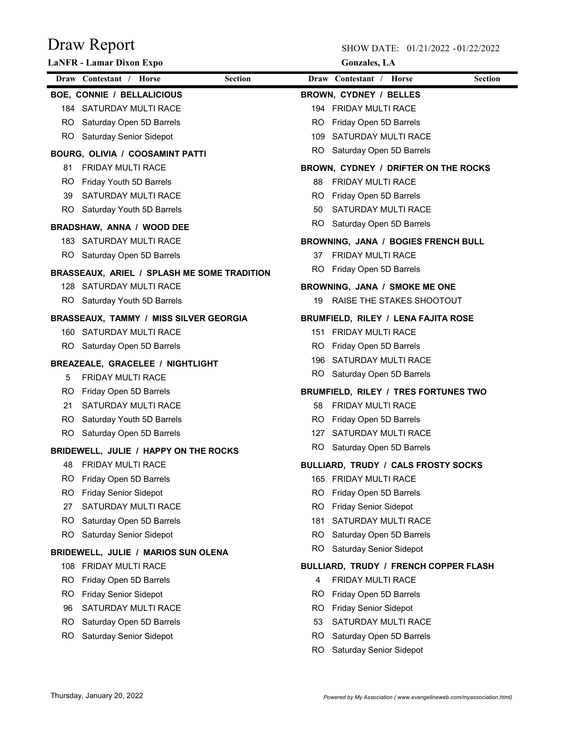|     | <b>LaNFR - Lamar Dixon Expo</b>               |                |     | <b>Gonzales</b> , LA                  |                |
|-----|-----------------------------------------------|----------------|-----|---------------------------------------|----------------|
|     | Draw Contestant / Horse                       | <b>Section</b> |     | Draw Contestant / Horse               | <b>Section</b> |
|     | <b>BOE, CONNIE / BELLALICIOUS</b>             |                |     | <b>BROWN, CYDNEY / BELLES</b>         |                |
|     | 184 SATURDAY MULTI RACE                       |                |     | 194 FRIDAY MULTI RACE                 |                |
|     | RO Saturday Open 5D Barrels                   |                | RO. | Friday Open 5D Barrels                |                |
|     | RO Saturday Senior Sidepot                    |                |     | 109 SATURDAY MULTI RACE               |                |
|     | BOURG, OLIVIA / COOSAMINT PATTI               |                |     | RO Saturday Open 5D Barrels           |                |
| 81  | <b>FRIDAY MULTI RACE</b>                      |                |     | BROWN, CYDNEY / DRIFTER ON THE ROCKS  |                |
|     | RO Friday Youth 5D Barrels                    |                | 88  | <b>FRIDAY MULTI RACE</b>              |                |
| 39  | SATURDAY MULTI RACE                           |                |     | RO Friday Open 5D Barrels             |                |
|     | RO Saturday Youth 5D Barrels                  |                | 50  | SATURDAY MULTI RACE                   |                |
|     | <b>BRADSHAW, ANNA / WOOD DEE</b>              |                |     | RO Saturday Open 5D Barrels           |                |
|     | 183 SATURDAY MULTI RACE                       |                |     | BROWNING, JANA / BOGIES FRENCH BULL   |                |
|     | RO Saturday Open 5D Barrels                   |                |     | 37 FRIDAY MULTI RACE                  |                |
|     | BRASSEAUX, ARIEL / SPLASH ME SOME TRADITION   |                | RO. | Friday Open 5D Barrels                |                |
|     | 128 SATURDAY MULTI RACE                       |                |     | BROWNING, JANA / SMOKE ME ONE         |                |
|     | RO Saturday Youth 5D Barrels                  |                | 19  | RAISE THE STAKES SHOOTOUT             |                |
|     | <b>BRASSEAUX, TAMMY / MISS SILVER GEORGIA</b> |                |     | BRUMFIELD, RILEY / LENA FAJITA ROSE   |                |
|     | 160 SATURDAY MULTI RACE                       |                |     | 151 FRIDAY MULTI RACE                 |                |
|     | RO Saturday Open 5D Barrels                   |                |     | RO Friday Open 5D Barrels             |                |
|     | <b>BREAZEALE, GRACELEE / NIGHTLIGHT</b>       |                |     | 196 SATURDAY MULTI RACE               |                |
| 5   | <b>FRIDAY MULTI RACE</b>                      |                |     | RO Saturday Open 5D Barrels           |                |
|     | RO Friday Open 5D Barrels                     |                |     | BRUMFIELD, RILEY / TRES FORTUNES TWO  |                |
| 21  | SATURDAY MULTI RACE                           |                | 58  | <b>FRIDAY MULTI RACE</b>              |                |
|     | RO Saturday Youth 5D Barrels                  |                | RO. | Friday Open 5D Barrels                |                |
|     | RO Saturday Open 5D Barrels                   |                |     | 127 SATURDAY MULTI RACE               |                |
|     | BRIDEWELL, JULIE / HAPPY ON THE ROCKS         |                |     | RO Saturday Open 5D Barrels           |                |
| 48  | <b>FRIDAY MULTI RACE</b>                      |                |     | BULLIARD, TRUDY / CALS FROSTY SOCKS   |                |
| RO. | Friday Open 5D Barrels                        |                | 165 | FRIDAY MULTI RACE                     |                |
| RO. | <b>Friday Senior Sidepot</b>                  |                | RO  | Friday Open 5D Barrels                |                |
| 27  | SATURDAY MULTI RACE                           |                | RO  | <b>Friday Senior Sidepot</b>          |                |
| RO. | Saturday Open 5D Barrels                      |                | 181 | SATURDAY MULTI RACE                   |                |
|     | RO Saturday Senior Sidepot                    |                | RO  | Saturday Open 5D Barrels              |                |
|     | BRIDEWELL, JULIE / MARIOS SUN OLENA           |                | RO  | <b>Saturday Senior Sidepot</b>        |                |
|     | 108 FRIDAY MULTI RACE                         |                |     | BULLIARD, TRUDY / FRENCH COPPER FLASH |                |
| RO. | Friday Open 5D Barrels                        |                | 4   | FRIDAY MULTI RACE                     |                |
| RO. | <b>Friday Senior Sidepot</b>                  |                | RO  | Friday Open 5D Barrels                |                |
| 96  | SATURDAY MULTI RACE                           |                | RO  | <b>Friday Senior Sidepot</b>          |                |
| RO. | Saturday Open 5D Barrels                      |                | 53  | SATURDAY MULTI RACE                   |                |
| RO. | <b>Saturday Senior Sidepot</b>                |                | RO  | Saturday Open 5D Barrels              |                |
|     |                                               |                | RO  | Saturday Senior Sidepot               |                |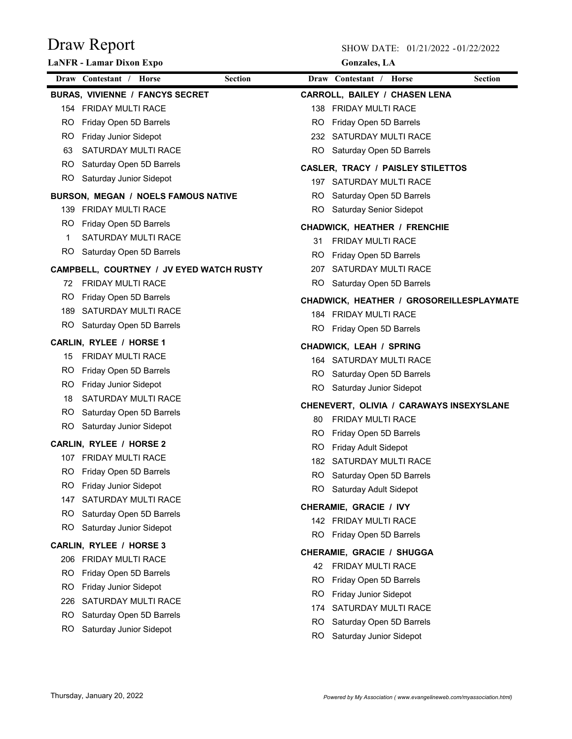|             | <b>LaNFR</b> - Lamar Dixon Expo          |                | <b>Gonzales</b> , LA                                      |
|-------------|------------------------------------------|----------------|-----------------------------------------------------------|
|             | Draw Contestant / Horse                  | <b>Section</b> | Draw Contestant / Horse<br><b>Section</b>                 |
|             | <b>BURAS, VIVIENNE / FANCYS SECRET</b>   |                | <b>CARROLL, BAILEY / CHASEN LENA</b>                      |
|             | 154 FRIDAY MULTI RACE                    |                | 138 FRIDAY MULTI RACE                                     |
|             | RO Friday Open 5D Barrels                | RO.            | Friday Open 5D Barrels                                    |
|             | RO Friday Junior Sidepot                 |                | 232 SATURDAY MULTI RACE                                   |
| 63          | <b>SATURDAY MULTI RACE</b>               |                | RO Saturday Open 5D Barrels                               |
|             | RO Saturday Open 5D Barrels              |                | <b>CASLER, TRACY / PAISLEY STILETTOS</b>                  |
|             | RO Saturday Junior Sidepot               |                | 197 SATURDAY MULTI RACE                                   |
|             | BURSON, MEGAN / NOELS FAMOUS NATIVE      |                | RO Saturday Open 5D Barrels                               |
|             | 139 FRIDAY MULTI RACE                    |                | RO Saturday Senior Sidepot                                |
|             | RO Friday Open 5D Barrels                |                | <b>CHADWICK, HEATHER / FRENCHIE</b>                       |
| $\mathbf 1$ | <b>SATURDAY MULTI RACE</b>               | 31             | <b>FRIDAY MULTI RACE</b>                                  |
|             | RO Saturday Open 5D Barrels              | RO.            | Friday Open 5D Barrels                                    |
|             | CAMPBELL, COURTNEY / JV EYED WATCH RUSTY |                | 207 SATURDAY MULTI RACE                                   |
|             | 72 FRIDAY MULTI RACE                     |                | RO Saturday Open 5D Barrels                               |
| RO.         | Friday Open 5D Barrels                   |                | CHADWICK, HEATHER / GROSOREILLESPLAYMATE                  |
|             | 189 SATURDAY MULTI RACE                  |                | 184 FRIDAY MULTI RACE                                     |
|             | RO Saturday Open 5D Barrels              |                | RO Friday Open 5D Barrels                                 |
|             | CARLIN, RYLEE / HORSE 1                  |                |                                                           |
| 15          | <b>FRIDAY MULTI RACE</b>                 |                | <b>CHADWICK, LEAH / SPRING</b><br>164 SATURDAY MULTI RACE |
|             | RO Friday Open 5D Barrels                |                | RO Saturday Open 5D Barrels                               |
|             | RO Friday Junior Sidepot                 | RO.            | Saturday Junior Sidepot                                   |
| 18          | SATURDAY MULTI RACE                      |                |                                                           |
|             | RO Saturday Open 5D Barrels              |                | CHENEVERT, OLIVIA / CARAWAYS INSEXYSLANE                  |
|             | RO Saturday Junior Sidepot               | 80             | <b>FRIDAY MULTI RACE</b>                                  |
|             | CARLIN, RYLEE / HORSE 2                  | RO.<br>RO.     | Friday Open 5D Barrels<br><b>Friday Adult Sidepot</b>     |
|             | 107 FRIDAY MULTI RACE                    |                | 182 SATURDAY MULTI RACE                                   |
|             | RO Friday Open 5D Barrels                |                | RO Saturday Open 5D Barrels                               |
| RO.         | Friday Junior Sidepot                    | RO.            | Saturday Adult Sidepot                                    |
| 147         | SATURDAY MULTI RACE                      |                |                                                           |
| RO.         | Saturday Open 5D Barrels                 |                | CHERAMIE, GRACIE / IVY                                    |
| RO.         | Saturday Junior Sidepot                  |                | 142 FRIDAY MULTI RACE                                     |
|             | CARLIN, RYLEE / HORSE 3                  | RO.            | Friday Open 5D Barrels                                    |
|             | 206 FRIDAY MULTI RACE                    |                | <b>CHERAMIE, GRACIE / SHUGGA</b>                          |
| RO.         | Friday Open 5D Barrels                   | 42             | <b>FRIDAY MULTI RACE</b>                                  |
| RO.         | <b>Friday Junior Sidepot</b>             | RO.            | Friday Open 5D Barrels                                    |
| 226         | SATURDAY MULTI RACE                      | RO.            | <b>Friday Junior Sidepot</b>                              |
| RO.         | Saturday Open 5D Barrels                 | 174            | SATURDAY MULTI RACE                                       |
| RO.         | Saturday Junior Sidepot                  | RO.            | Saturday Open 5D Barrels                                  |
|             |                                          | RO.            | Saturday Junior Sidepot                                   |
|             |                                          |                |                                                           |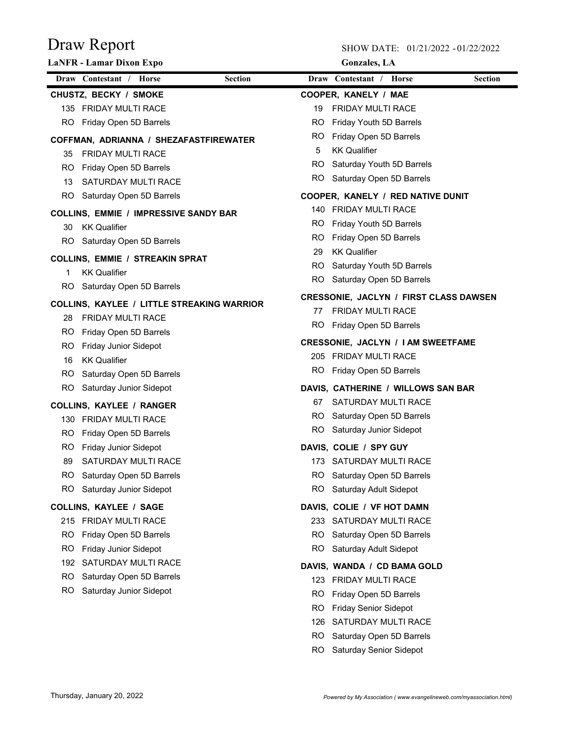|     | <b>LaNFR - Lamar Dixon Expo</b>                               |           | <b>Gonzales</b> , LA                          |                |
|-----|---------------------------------------------------------------|-----------|-----------------------------------------------|----------------|
|     | Draw Contestant / Horse<br><b>Section</b>                     |           | Draw Contestant / Horse                       | <b>Section</b> |
|     | CHUSTZ, BECKY / SMOKE                                         |           | COOPER, KANELY / MAE                          |                |
|     | 135 FRIDAY MULTI RACE                                         | 19        | <b>FRIDAY MULTI RACE</b>                      |                |
| RO. | Friday Open 5D Barrels                                        | RO.       | Friday Youth 5D Barrels                       |                |
|     | COFFMAN, ADRIANNA / SHEZAFASTFIREWATER                        | RO.       | Friday Open 5D Barrels                        |                |
| 35  | <b>FRIDAY MULTI RACE</b>                                      | 5         | <b>KK Qualifier</b>                           |                |
| RO. | Friday Open 5D Barrels                                        | RO.       | Saturday Youth 5D Barrels                     |                |
| 13  | SATURDAY MULTI RACE                                           | RO.       | Saturday Open 5D Barrels                      |                |
|     | RO Saturday Open 5D Barrels                                   |           | COOPER, KANELY / RED NATIVE DUNIT             |                |
|     | <b>COLLINS, EMMIE / IMPRESSIVE SANDY BAR</b>                  |           | 140 FRIDAY MULTI RACE                         |                |
| 30  | KK Qualifier                                                  | RO.       | Friday Youth 5D Barrels                       |                |
|     | RO Saturday Open 5D Barrels                                   | RO.       | Friday Open 5D Barrels                        |                |
|     |                                                               | 29        | <b>KK Qualifier</b>                           |                |
| 1   | <b>COLLINS, EMMIE / STREAKIN SPRAT</b><br><b>KK Qualifier</b> |           | RO Saturday Youth 5D Barrels                  |                |
|     | RO Saturday Open 5D Barrels                                   | RO.       | Saturday Open 5D Barrels                      |                |
|     |                                                               |           | <b>CRESSONIE, JACLYN / FIRST CLASS DAWSEN</b> |                |
|     | <b>COLLINS, KAYLEE / LITTLE STREAKING WARRIOR</b>             | 77        | <b>FRIDAY MULTI RACE</b>                      |                |
|     | 28 FRIDAY MUI TI RACE                                         | RO.       | Friday Open 5D Barrels                        |                |
| RO. | Friday Open 5D Barrels                                        |           | <b>CRESSONIE, JACLYN / I AM SWEETFAME</b>     |                |
| RO. | <b>Friday Junior Sidepot</b>                                  |           | 205 FRIDAY MULTI RACE                         |                |
| 16  | <b>KK Qualifier</b>                                           | RO.       | Friday Open 5D Barrels                        |                |
|     | RO Saturday Open 5D Barrels<br>RO Saturday Junior Sidepot     |           | DAVIS, CATHERINE / WILLOWS SAN BAR            |                |
|     |                                                               |           | 67 SATURDAY MULTI RACE                        |                |
|     | <b>COLLINS, KAYLEE / RANGER</b>                               |           | RO Saturday Open 5D Barrels                   |                |
|     | 130 FRIDAY MULTI RACE                                         |           | RO Saturday Junior Sidepot                    |                |
| RO. | Friday Open 5D Barrels                                        |           |                                               |                |
| RO. | <b>Friday Junior Sidepot</b>                                  |           | DAVIS, COLIE / SPY GUY                        |                |
| 89  | SATURDAY MULTI RACE                                           |           | 173 SATURDAY MULTI RACE                       |                |
| RO. | Saturday Open 5D Barrels                                      |           | RO Saturday Open 5D Barrels                   |                |
| RO. | Saturday Junior Sidepot                                       | RO.       | Saturday Adult Sidepot                        |                |
|     | <b>COLLINS, KAYLEE / SAGE</b>                                 |           | DAVIS, COLIE / VF HOT DAMN                    |                |
|     | 215 FRIDAY MULTI RACE                                         |           | 233 SATURDAY MULTI RACE                       |                |
| RO. | Friday Open 5D Barrels                                        | RO.       | Saturday Open 5D Barrels                      |                |
| RO  | Friday Junior Sidepot                                         | RO.       | Saturday Adult Sidepot                        |                |
| 192 | SATURDAY MULTI RACE                                           |           | DAVIS, WANDA / CD BAMA GOLD                   |                |
| RO. | Saturday Open 5D Barrels                                      | 123       | <b>FRIDAY MULTI RACE</b>                      |                |
| RO  | Saturday Junior Sidepot                                       | RO.       | Friday Open 5D Barrels                        |                |
|     |                                                               | <b>RO</b> | <b>Friday Senior Sidepot</b>                  |                |
|     |                                                               | 126       | SATURDAY MULTI RACE                           |                |
|     |                                                               | <b>RO</b> | Saturday Open 5D Barrels                      |                |
|     |                                                               | RO.       | Saturday Senior Sidepot                       |                |
|     |                                                               |           |                                               |                |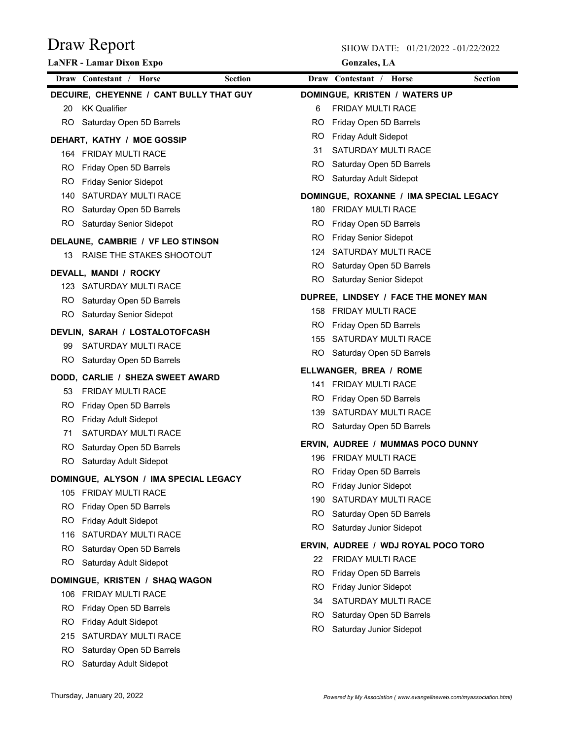|           | <b>LaNFR</b> - Lamar Dixon Expo                           |                |            | <b>Gonzales</b> , LA                         |                |
|-----------|-----------------------------------------------------------|----------------|------------|----------------------------------------------|----------------|
|           | Draw Contestant / Horse                                   | <b>Section</b> |            | Draw Contestant / Horse                      | <b>Section</b> |
|           | DECUIRE, CHEYENNE / CANT BULLY THAT GUY                   |                |            | DOMINGUE, KRISTEN / WATERS UP                |                |
| 20        | <b>KK Qualifier</b>                                       |                | 6          | <b>FRIDAY MULTI RACE</b>                     |                |
|           | RO Saturday Open 5D Barrels                               |                | RO.        | Friday Open 5D Barrels                       |                |
|           | DEHART, KATHY / MOE GOSSIP                                |                | RO.        | Friday Adult Sidepot                         |                |
|           | 164 FRIDAY MULTI RACE                                     |                | 31         | SATURDAY MULTI RACE                          |                |
| RO.       | Friday Open 5D Barrels                                    |                |            | RO Saturday Open 5D Barrels                  |                |
| RO.       | <b>Friday Senior Sidepot</b>                              |                |            | RO Saturday Adult Sidepot                    |                |
|           | 140 SATURDAY MULTI RACE                                   |                |            | DOMINGUE, ROXANNE / IMA SPECIAL LEGACY       |                |
|           | RO Saturday Open 5D Barrels                               |                |            | 180 FRIDAY MULTI RACE                        |                |
|           | RO Saturday Senior Sidepot                                |                | RO.        | Friday Open 5D Barrels                       |                |
|           | DELAUNE, CAMBRIE / VF LEO STINSON                         |                | RO.        | <b>Friday Senior Sidepot</b>                 |                |
| 13        | RAISE THE STAKES SHOOTOUT                                 |                |            | 124 SATURDAY MULTI RACE                      |                |
|           |                                                           |                |            | RO Saturday Open 5D Barrels                  |                |
|           | DEVALL, MANDI / ROCKY                                     |                |            | RO Saturday Senior Sidepot                   |                |
|           | 123 SATURDAY MULTI RACE                                   |                |            | DUPREE, LINDSEY / FACE THE MONEY MAN         |                |
|           | RO Saturday Open 5D Barrels<br>RO Saturday Senior Sidepot |                |            | 158 FRIDAY MULTI RACE                        |                |
|           |                                                           |                | RO.        | Friday Open 5D Barrels                       |                |
|           | DEVLIN, SARAH / LOSTALOTOFCASH                            |                |            | 155 SATURDAY MULTI RACE                      |                |
| 99        | SATURDAY MULTI RACE                                       |                |            | RO Saturday Open 5D Barrels                  |                |
| RO.       | Saturday Open 5D Barrels                                  |                |            | ELLWANGER, BREA / ROME                       |                |
|           | DODD, CARLIE / SHEZA SWEET AWARD                          |                |            | 141 FRIDAY MULTI RACE                        |                |
| 53        | <b>FRIDAY MULTI RACE</b>                                  |                | RO.        | Friday Open 5D Barrels                       |                |
| RO.       | Friday Open 5D Barrels                                    |                |            | 139 SATURDAY MULTI RACE                      |                |
| RO.       | Friday Adult Sidepot                                      |                |            | RO Saturday Open 5D Barrels                  |                |
| 71        | SATURDAY MULTI RACE                                       |                |            |                                              |                |
| RO.       | Saturday Open 5D Barrels                                  |                |            | ERVIN, AUDREE / MUMMAS POCO DUNNY            |                |
| <b>RO</b> | Saturday Adult Sidepot                                    |                |            | 196 FRIDAY MULTI RACE                        |                |
|           | DOMINGUE, ALYSON / IMA SPECIAL LEGACY                     |                |            | RO Friday Open 5D Barrels                    |                |
|           | 105 FRIDAY MULTI RACE                                     |                | RO.        | Friday Junior Sidepot<br>SATURDAY MULTI RACE |                |
| RO.       | Friday Open 5D Barrels                                    |                | 190        | Saturday Open 5D Barrels                     |                |
| RO.       | Friday Adult Sidepot                                      |                | RO.<br>RO. | Saturday Junior Sidepot                      |                |
| 116       | SATURDAY MULTI RACE                                       |                |            |                                              |                |
| RO.       | Saturday Open 5D Barrels                                  |                |            | ERVIN, AUDREE / WDJ ROYAL POCO TORO          |                |
| RO.       | Saturday Adult Sidepot                                    |                | 22         | FRIDAY MULTI RACE                            |                |
|           | DOMINGUE, KRISTEN / SHAQ WAGON                            |                | RO.        | Friday Open 5D Barrels                       |                |
|           | 106 FRIDAY MULTI RACE                                     |                | RO.        | Friday Junior Sidepot                        |                |
| RO.       | Friday Open 5D Barrels                                    |                | 34         | SATURDAY MULTI RACE                          |                |
| RO.       | <b>Friday Adult Sidepot</b>                               |                | RO.        | Saturday Open 5D Barrels                     |                |
| 215       | SATURDAY MULTI RACE                                       |                | RO.        | Saturday Junior Sidepot                      |                |
| RO        | Saturday Open 5D Barrels                                  |                |            |                                              |                |
| RO.       | Saturday Adult Sidepot                                    |                |            |                                              |                |
|           |                                                           |                |            |                                              |                |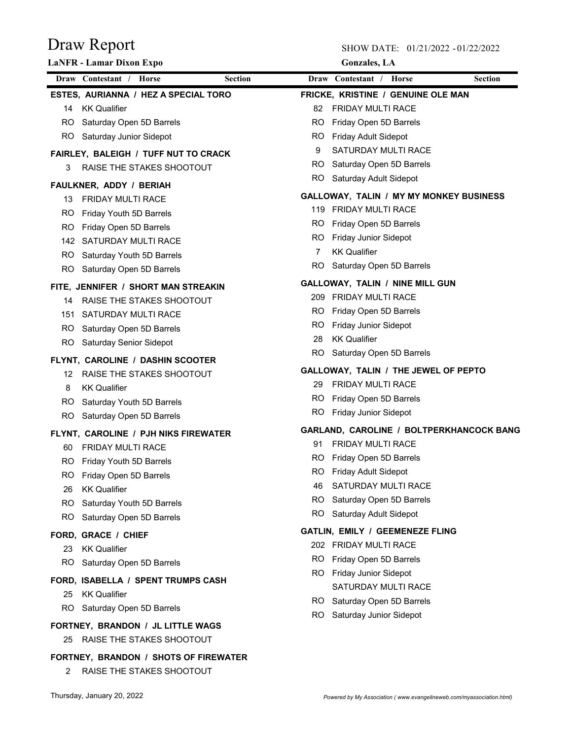|     | <b>LaNFR</b> - Lamar Dixon Expo           |     | <b>Gonzales</b> , LA                                      |                |
|-----|-------------------------------------------|-----|-----------------------------------------------------------|----------------|
|     | Draw Contestant / Horse<br><b>Section</b> |     | Draw Contestant / Horse                                   | <b>Section</b> |
|     | ESTES, AURIANNA / HEZ A SPECIAL TORO      |     | <b>FRICKE, KRISTINE / GENUINE OLE MAN</b>                 |                |
|     | 14 KK Qualifier                           |     | 82 FRIDAY MULTI RACE                                      |                |
| RO  | Saturday Open 5D Barrels                  | RO. | Friday Open 5D Barrels                                    |                |
|     | RO Saturday Junior Sidepot                | RO. | Friday Adult Sidepot                                      |                |
|     | FAIRLEY, BALEIGH / TUFF NUT TO CRACK      | 9   | <b>SATURDAY MULTI RACE</b>                                |                |
| 3   | RAISE THE STAKES SHOOTOUT                 |     | RO Saturday Open 5D Barrels                               |                |
|     | FAULKNER, ADDY / BERIAH                   |     | RO Saturday Adult Sidepot                                 |                |
| 13  | FRIDAY MULTI RACE                         |     | GALLOWAY, TALIN / MY MY MONKEY BUSINESS                   |                |
| RO. | Friday Youth 5D Barrels                   |     | 119 FRIDAY MULTI RACE                                     |                |
| RO. | Friday Open 5D Barrels                    | RO. | Friday Open 5D Barrels                                    |                |
|     | 142 SATURDAY MULTI RACE                   | RO. | Friday Junior Sidepot                                     |                |
|     | RO Saturday Youth 5D Barrels              | 7   | <b>KK Qualifier</b>                                       |                |
|     | RO Saturday Open 5D Barrels               | RO. | Saturday Open 5D Barrels                                  |                |
|     | FITE, JENNIFER / SHORT MAN STREAKIN       |     | GALLOWAY, TALIN / NINE MILL GUN                           |                |
| 14  | RAISE THE STAKES SHOOTOUT                 |     | 209 FRIDAY MULTI RACE                                     |                |
| 151 | SATURDAY MULTI RACE                       | RO. | Friday Open 5D Barrels                                    |                |
| RO. | Saturday Open 5D Barrels                  | RO. | Friday Junior Sidepot                                     |                |
| RO. | <b>Saturday Senior Sidepot</b>            | 28  | <b>KK Qualifier</b>                                       |                |
|     |                                           | RO. | Saturday Open 5D Barrels                                  |                |
|     | FLYNT, CAROLINE / DASHIN SCOOTER          |     | GALLOWAY, TALIN / THE JEWEL OF PEPTO                      |                |
| 12  | RAISE THE STAKES SHOOTOUT                 | 29  | <b>FRIDAY MULTI RACE</b>                                  |                |
| 8   | <b>KK Qualifier</b>                       | RO. | Friday Open 5D Barrels                                    |                |
| RO. | Saturday Youth 5D Barrels                 | RO. | Friday Junior Sidepot                                     |                |
|     | RO Saturday Open 5D Barrels               |     | GARLAND, CAROLINE / BOLTPERKHANCOCK BANG                  |                |
|     | FLYNT, CAROLINE / PJH NIKS FIREWATER      | 91  | <b>FRIDAY MULTI RACE</b>                                  |                |
| 60  | <b>FRIDAY MULTI RACE</b>                  |     | RO Friday Open 5D Barrels                                 |                |
|     | RO Friday Youth 5D Barrels                |     | RO Friday Adult Sidepot                                   |                |
|     | RO Friday Open 5D Barrels                 | 46  | SATURDAY MULTI RACE                                       |                |
| 26  | <b>KK Qualifier</b>                       | RO. | Saturday Open 5D Barrels                                  |                |
| RO. | Saturday Youth 5D Barrels                 |     | RO Saturday Adult Sidepot                                 |                |
|     | RO Saturday Open 5D Barrels               |     |                                                           |                |
|     | FORD, GRACE / CHIEF                       |     | GATLIN, EMILY / GEEMENEZE FLING<br>202 FRIDAY MULTI RACE  |                |
|     | 23 KK Qualifier                           | RO. |                                                           |                |
|     | RO Saturday Open 5D Barrels               |     | Friday Open 5D Barrels                                    |                |
|     | FORD, ISABELLA / SPENT TRUMPS CASH        | RO. | Friday Junior Sidepot<br>SATURDAY MULTI RACE              |                |
|     | 25 KK Qualifier                           |     |                                                           |                |
| RO. | Saturday Open 5D Barrels                  |     | RO Saturday Open 5D Barrels<br>RO Saturday Junior Sidepot |                |
|     | FORTNEY, BRANDON / JL LITTLE WAGS         |     |                                                           |                |
|     | 25 RAISE THE STAKES SHOOTOUT              |     |                                                           |                |
|     | FORTNEY, BRANDON / SHOTS OF FIREWATER     |     |                                                           |                |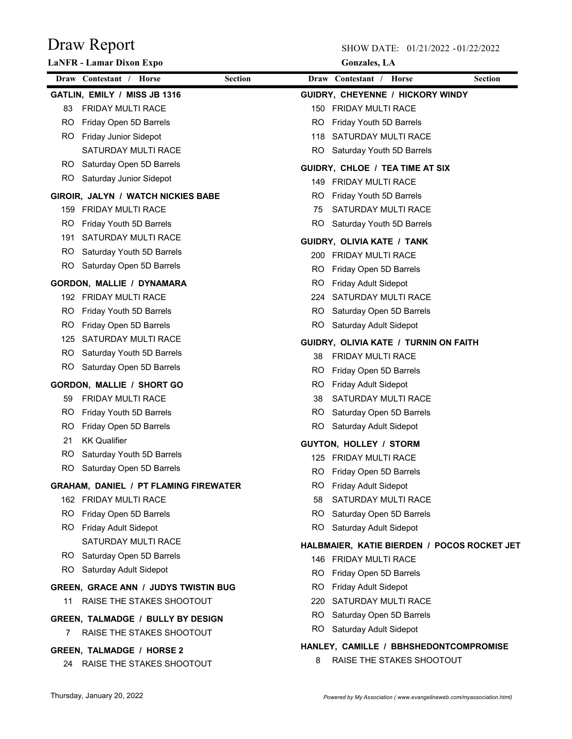|     | LaNFR - Lamar Dixon Expo                     |                | <b>Gonzales</b> , LA                        |                |
|-----|----------------------------------------------|----------------|---------------------------------------------|----------------|
|     | Draw Contestant / Horse                      | <b>Section</b> | Draw Contestant / Horse                     | <b>Section</b> |
|     | GATLIN, EMILY / MISS JB 1316                 |                | GUIDRY, CHEYENNE / HICKORY WINDY            |                |
| 83  | <b>FRIDAY MULTI RACE</b>                     |                | 150 FRIDAY MULTI RACE                       |                |
| RO. | Friday Open 5D Barrels                       | RO.            | Friday Youth 5D Barrels                     |                |
| RO. | <b>Friday Junior Sidepot</b>                 |                | 118 SATURDAY MULTI RACE                     |                |
|     | SATURDAY MULTI RACE                          | RO.            | Saturday Youth 5D Barrels                   |                |
| RO. | Saturday Open 5D Barrels                     |                | GUIDRY, CHLOE / TEA TIME AT SIX             |                |
|     | RO Saturday Junior Sidepot                   |                | 149 FRIDAY MULTI RACE                       |                |
|     | GIROIR, JALYN / WATCH NICKIES BABE           | RO.            | Friday Youth 5D Barrels                     |                |
|     | 159 FRIDAY MULTI RACE                        | 75             | SATURDAY MULTI RACE                         |                |
| RO. | Friday Youth 5D Barrels                      | RO.            | Saturday Youth 5D Barrels                   |                |
|     | 191 SATURDAY MULTI RACE                      |                | GUIDRY, OLIVIA KATE / TANK                  |                |
| RO. | Saturday Youth 5D Barrels                    |                | 200 FRIDAY MULTI RACE                       |                |
| RO. | Saturday Open 5D Barrels                     | RO             | Friday Open 5D Barrels                      |                |
|     | <b>GORDON, MALLIE / DYNAMARA</b>             | RO.            | Friday Adult Sidepot                        |                |
|     | 192 FRIDAY MULTI RACE                        | 224            | SATURDAY MULTI RACE                         |                |
| RO. | Friday Youth 5D Barrels                      | RO.            | Saturday Open 5D Barrels                    |                |
| RO. | Friday Open 5D Barrels                       | RO.            | Saturday Adult Sidepot                      |                |
|     | 125 SATURDAY MULTI RACE                      |                | GUIDRY, OLIVIA KATE / TURNIN ON FAITH       |                |
| RO. | Saturday Youth 5D Barrels                    | 38             | <b>FRIDAY MULTI RACE</b>                    |                |
| RO. | Saturday Open 5D Barrels                     | RO.            | Friday Open 5D Barrels                      |                |
|     | <b>GORDON, MALLIE / SHORT GO</b>             | RO.            | <b>Friday Adult Sidepot</b>                 |                |
| 59  | <b>FRIDAY MULTI RACE</b>                     | 38             | SATURDAY MULTI RACE                         |                |
| RO. | Friday Youth 5D Barrels                      | RO.            | Saturday Open 5D Barrels                    |                |
| RO. | Friday Open 5D Barrels                       | RO.            | Saturday Adult Sidepot                      |                |
| 21  | <b>KK Qualifier</b>                          |                | <b>GUYTON, HOLLEY / STORM</b>               |                |
| RO. | Saturday Youth 5D Barrels                    |                | 125 FRIDAY MULTI RACE                       |                |
| RO. | Saturday Open 5D Barrels                     | RO.            | Friday Open 5D Barrels                      |                |
|     | <b>GRAHAM, DANIEL / PT FLAMING FIREWATER</b> | RO.            | <b>Friday Adult Sidepot</b>                 |                |
|     | 162 FRIDAY MULTI RACE                        | 58             | SATURDAY MULTI RACE                         |                |
|     | RO Friday Open 5D Barrels                    | RO.            | Saturday Open 5D Barrels                    |                |
|     | RO Friday Adult Sidepot                      |                | RO Saturday Adult Sidepot                   |                |
|     | SATURDAY MULTI RACE                          |                | HALBMAIER, KATIE BIERDEN / POCOS ROCKET JET |                |
|     | RO Saturday Open 5D Barrels                  |                | 146 FRIDAY MULTI RACE                       |                |
|     | RO Saturday Adult Sidepot                    | RO.            | Friday Open 5D Barrels                      |                |
|     | <b>GREEN, GRACE ANN / JUDYS TWISTIN BUG</b>  | RO.            | <b>Friday Adult Sidepot</b>                 |                |
| 11  | RAISE THE STAKES SHOOTOUT                    | 220            | SATURDAY MULTI RACE                         |                |
|     | <b>GREEN, TALMADGE / BULLY BY DESIGN</b>     | RO.            | Saturday Open 5D Barrels                    |                |
| 7   | RAISE THE STAKES SHOOTOUT                    |                | RO Saturday Adult Sidepot                   |                |
|     | <b>GREEN, TALMADGE / HORSE 2</b>             |                | HANLEY, CAMILLE / BBHSHEDONTCOMPROMISE      |                |
|     | 24 RAISE THE STAKES SHOOTOUT                 | 8              | RAISE THE STAKES SHOOTOUT                   |                |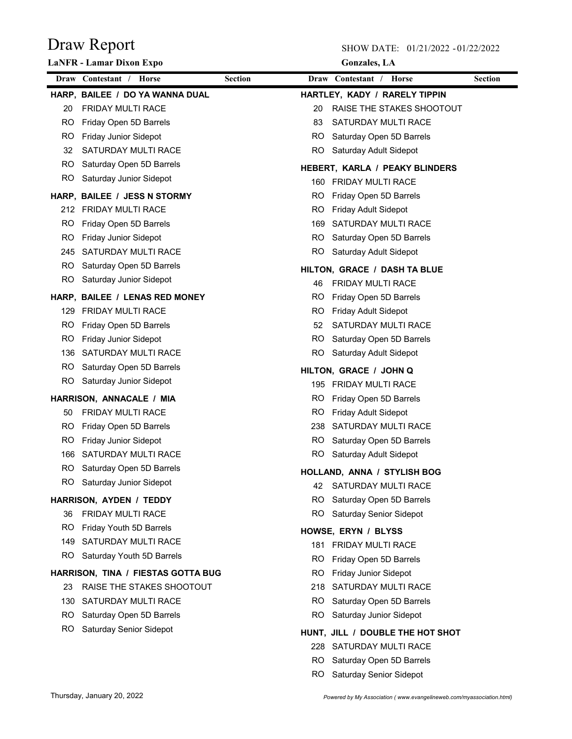|     | <b>LaNFR</b> - Lamar Dixon Expo    |                | <b>Gonzales</b> , LA                  |                |
|-----|------------------------------------|----------------|---------------------------------------|----------------|
|     | Draw Contestant / Horse            | <b>Section</b> | Draw Contestant / Horse               | <b>Section</b> |
|     | HARP, BAILEE / DO YA WANNA DUAL    |                | HARTLEY, KADY / RARELY TIPPIN         |                |
| 20  | <b>FRIDAY MULTI RACE</b>           | 20             | RAISE THE STAKES SHOOTOUT             |                |
| RO. | Friday Open 5D Barrels             | 83             | SATURDAY MULTI RACE                   |                |
| RO. | <b>Friday Junior Sidepot</b>       | RO.            | Saturday Open 5D Barrels              |                |
| 32  | SATURDAY MULTI RACE                | RO.            | Saturday Adult Sidepot                |                |
| RO. | Saturday Open 5D Barrels           |                | <b>HEBERT, KARLA / PEAKY BLINDERS</b> |                |
| RO. | Saturday Junior Sidepot            |                | 160 FRIDAY MULTI RACE                 |                |
|     | HARP, BAILEE / JESS N STORMY       | RO             | Friday Open 5D Barrels                |                |
|     | 212 FRIDAY MULTI RACE              | RO.            | <b>Friday Adult Sidepot</b>           |                |
| RO  | Friday Open 5D Barrels             | 169            | SATURDAY MULTI RACE                   |                |
| RO  | <b>Friday Junior Sidepot</b>       | RO.            | Saturday Open 5D Barrels              |                |
| 245 | SATURDAY MULTI RACE                | RO             | Saturday Adult Sidepot                |                |
| RO. | Saturday Open 5D Barrels           |                | HILTON, GRACE / DASH TA BLUE          |                |
| RO. | Saturday Junior Sidepot            | 46             | <b>FRIDAY MULTI RACE</b>              |                |
|     | HARP, BAILEE / LENAS RED MONEY     | RO             | Friday Open 5D Barrels                |                |
|     | 129 FRIDAY MULTI RACE              | RO             | <b>Friday Adult Sidepot</b>           |                |
| RO. | Friday Open 5D Barrels             | 52             | SATURDAY MULTI RACE                   |                |
| RO  | <b>Friday Junior Sidepot</b>       | RO             | Saturday Open 5D Barrels              |                |
| 136 | SATURDAY MULTI RACE                | RO.            | Saturday Adult Sidepot                |                |
| RO. | Saturday Open 5D Barrels           |                | HILTON, GRACE / JOHN Q                |                |
| RO. | Saturday Junior Sidepot            |                | 195 FRIDAY MULTI RACE                 |                |
|     | HARRISON, ANNACALE / MIA           | RO             | Friday Open 5D Barrels                |                |
| 50  | <b>FRIDAY MULTI RACE</b>           | RO             | Friday Adult Sidepot                  |                |
| RO. | Friday Open 5D Barrels             | 238            | SATURDAY MULTI RACE                   |                |
| RO  | Friday Junior Sidepot              | RO.            | Saturday Open 5D Barrels              |                |
| 166 | SATURDAY MULTI RACE                |                | RO Saturday Adult Sidepot             |                |
| RO  | Saturday Open 5D Barrels           |                | HOLLAND, ANNA / STYLISH BOG           |                |
|     | RO Saturday Junior Sidepot         | 42             | SATURDAY MULTI RACE                   |                |
|     | HARRISON, AYDEN / TEDDY            | RO             | Saturday Open 5D Barrels              |                |
| 36  | <b>FRIDAY MULTI RACE</b>           | RO             | Saturday Senior Sidepot               |                |
| RO. | Friday Youth 5D Barrels            |                | HOWSE, ERYN / BLYSS                   |                |
| 149 | SATURDAY MULTI RACE                | 181.           | <b>FRIDAY MULTI RACE</b>              |                |
| RO. | Saturday Youth 5D Barrels          | RO             | Friday Open 5D Barrels                |                |
|     | HARRISON, TINA / FIESTAS GOTTA BUG | RO             | Friday Junior Sidepot                 |                |
| 23  | RAISE THE STAKES SHOOTOUT          | 218            | SATURDAY MULTI RACE                   |                |
| 130 | SATURDAY MULTI RACE                | RO.            | Saturday Open 5D Barrels              |                |
| RO. | Saturday Open 5D Barrels           | RO             | Saturday Junior Sidepot               |                |
| RO. | Saturday Senior Sidepot            |                | HUNT, JILL / DOUBLE THE HOT SHOT      |                |
|     |                                    | 228            | SATURDAY MULTI RACE                   |                |
|     |                                    | RO.            | Saturday Open 5D Barrels              |                |
|     |                                    | RO.            | Saturday Senior Sidepot               |                |
|     |                                    |                |                                       |                |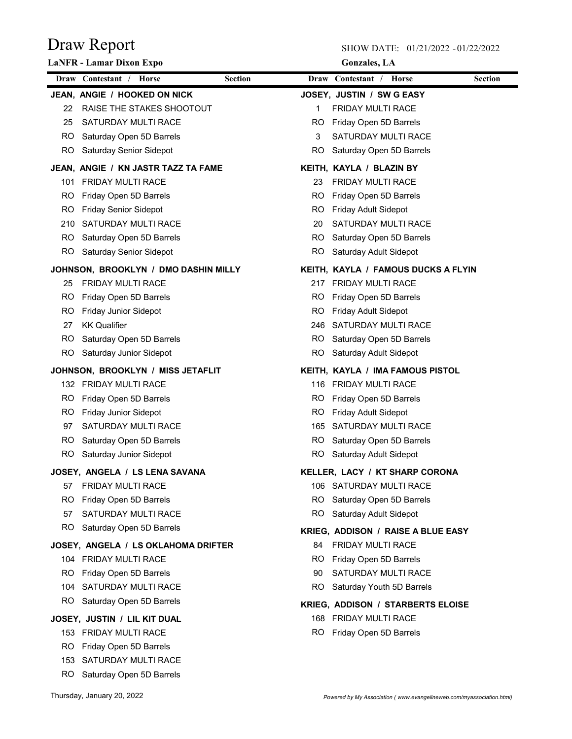|     | <b>LaNFR</b> - Lamar Dixon Expo      |                |           | <b>Gonzales</b> , LA                     |                |
|-----|--------------------------------------|----------------|-----------|------------------------------------------|----------------|
|     | Draw Contestant / Horse              | <b>Section</b> |           | Draw Contestant / Horse                  | <b>Section</b> |
|     | JEAN, ANGIE / HOOKED ON NICK         |                |           | JOSEY, JUSTIN / SW G EASY                |                |
| 22  | RAISE THE STAKES SHOOTOUT            |                | 1         | <b>FRIDAY MULTI RACE</b>                 |                |
| 25  | SATURDAY MULTI RACE                  |                | RO.       | Friday Open 5D Barrels                   |                |
| RO. | Saturday Open 5D Barrels             |                | 3         | SATURDAY MULTI RACE                      |                |
| RO. | Saturday Senior Sidepot              |                | RO.       | Saturday Open 5D Barrels                 |                |
|     | JEAN, ANGIE / KN JASTR TAZZ TA FAME  |                |           | KEITH, KAYLA / BLAZIN BY                 |                |
|     | 101 FRIDAY MULTI RACE                |                | 23        | <b>FRIDAY MULTI RACE</b>                 |                |
| RO. | Friday Open 5D Barrels               |                | RO.       | Friday Open 5D Barrels                   |                |
| RO. | <b>Friday Senior Sidepot</b>         |                | RO.       | <b>Friday Adult Sidepot</b>              |                |
|     | 210 SATURDAY MULTI RACE              |                | 20        | SATURDAY MULTI RACE                      |                |
| RO. | Saturday Open 5D Barrels             |                | RO.       | Saturday Open 5D Barrels                 |                |
|     | RO Saturday Senior Sidepot           |                | RO.       | Saturday Adult Sidepot                   |                |
|     | JOHNSON, BROOKLYN / DMO DASHIN MILLY |                |           | KEITH, KAYLA / FAMOUS DUCKS A FLYIN      |                |
| 25  | <b>FRIDAY MULTI RACE</b>             |                | 217       | <b>FRIDAY MULTI RACE</b>                 |                |
| RO. | Friday Open 5D Barrels               |                | RO.       | Friday Open 5D Barrels                   |                |
| RO. | <b>Friday Junior Sidepot</b>         |                | RO.       | <b>Friday Adult Sidepot</b>              |                |
| 27  | <b>KK Qualifier</b>                  |                | 246.      | SATURDAY MULTI RACE                      |                |
| RO. | Saturday Open 5D Barrels             |                | RO.       | Saturday Open 5D Barrels                 |                |
|     | RO Saturday Junior Sidepot           |                | RO.       | Saturday Adult Sidepot                   |                |
|     | JOHNSON, BROOKLYN / MISS JETAFLIT    |                |           | KEITH, KAYLA / IMA FAMOUS PISTOL         |                |
|     | 132 FRIDAY MULTI RACE                |                |           | 116 FRIDAY MULTI RACE                    |                |
| RO. | Friday Open 5D Barrels               |                | RO.       | Friday Open 5D Barrels                   |                |
| RO. | Friday Junior Sidepot                |                | <b>RO</b> | Friday Adult Sidepot                     |                |
| 97  | SATURDAY MULTI RACE                  |                | 165       | SATURDAY MULTI RACE                      |                |
| RO. | Saturday Open 5D Barrels             |                | RO.       | Saturday Open 5D Barrels                 |                |
|     | RO Saturday Junior Sidepot           |                |           | RO Saturday Adult Sidepot                |                |
|     | JOSEY, ANGELA / LS LENA SAVANA       |                |           | <b>KELLER, LACY / KT SHARP CORONA</b>    |                |
|     | 57 FRIDAY MULTI RACE                 |                |           | 106 SATURDAY MULTI RACE                  |                |
| RO. | Friday Open 5D Barrels               |                |           | RO Saturday Open 5D Barrels              |                |
| 57  | SATURDAY MULTI RACE                  |                |           | RO Saturday Adult Sidepot                |                |
|     | RO Saturday Open 5D Barrels          |                |           | KRIEG, ADDISON / RAISE A BLUE EASY       |                |
|     | JOSEY, ANGELA / LS OKLAHOMA DRIFTER  |                | 84        | FRIDAY MULTI RACE                        |                |
|     | 104 FRIDAY MULTI RACE                |                | RO.       | Friday Open 5D Barrels                   |                |
|     | RO Friday Open 5D Barrels            |                | 90        | SATURDAY MULTI RACE                      |                |
|     | 104 SATURDAY MULTI RACE              |                |           | RO Saturday Youth 5D Barrels             |                |
|     | RO Saturday Open 5D Barrels          |                |           | <b>KRIEG, ADDISON / STARBERTS ELOISE</b> |                |
|     | JOSEY, JUSTIN / LIL KIT DUAL         |                |           | 168 FRIDAY MULTI RACE                    |                |
|     | 153 FRIDAY MULTI RACE                |                |           | RO Friday Open 5D Barrels                |                |
| RO. | Friday Open 5D Barrels               |                |           |                                          |                |
|     | 153 SATURDAY MULTI RACE              |                |           |                                          |                |
|     | RO Saturday Open 5D Barrels          |                |           |                                          |                |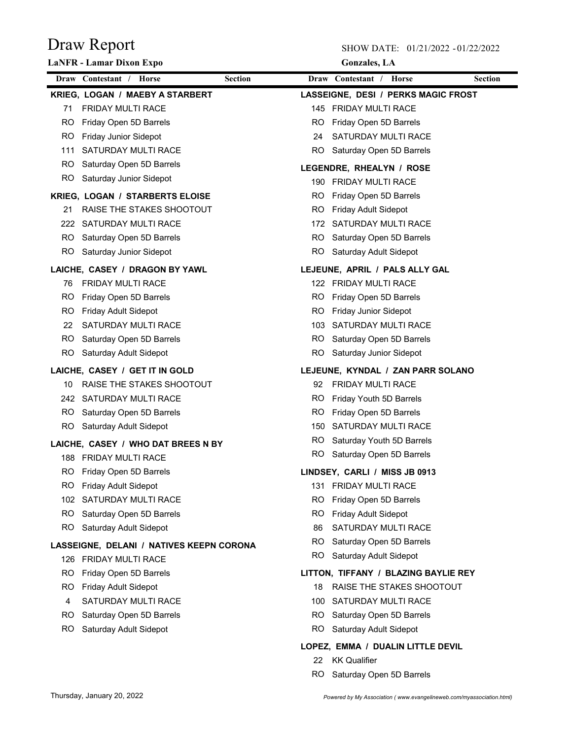|     | <b>LaNFR</b> - Lamar Dixon Expo           |           | <b>Gonzales</b> , LA                 |                |
|-----|-------------------------------------------|-----------|--------------------------------------|----------------|
|     | <b>Section</b><br>Draw Contestant / Horse |           | Draw Contestant / Horse              | <b>Section</b> |
|     | KRIEG, LOGAN / MAEBY A STARBERT           |           | LASSEIGNE, DESI / PERKS MAGIC FROST  |                |
| 71  | <b>FRIDAY MULTI RACE</b>                  |           | 145 FRIDAY MULTI RACE                |                |
| RO. | Friday Open 5D Barrels                    | RO.       | Friday Open 5D Barrels               |                |
| RO. | Friday Junior Sidepot                     | 24        | SATURDAY MULTI RACE                  |                |
| 111 | SATURDAY MULTI RACE                       |           | RO Saturday Open 5D Barrels          |                |
| RO. | Saturday Open 5D Barrels                  |           | LEGENDRE, RHEALYN / ROSE             |                |
|     | RO Saturday Junior Sidepot                |           | 190 FRIDAY MULTI RACE                |                |
|     | <b>KRIEG, LOGAN / STARBERTS ELOISE</b>    | RO.       | Friday Open 5D Barrels               |                |
| 21  | RAISE THE STAKES SHOOTOUT                 | RO.       | Friday Adult Sidepot                 |                |
|     | 222 SATURDAY MULTI RACE                   | 172       | SATURDAY MULTI RACE                  |                |
|     | RO Saturday Open 5D Barrels               | RO.       | Saturday Open 5D Barrels             |                |
|     | RO Saturday Junior Sidepot                |           | RO Saturday Adult Sidepot            |                |
|     | LAICHE, CASEY / DRAGON BY YAWL            |           | LEJEUNE, APRIL / PALS ALLY GAL       |                |
| 76  | <b>FRIDAY MULTI RACE</b>                  |           | 122 FRIDAY MULTI RACE                |                |
| RO. | Friday Open 5D Barrels                    | RO.       | Friday Open 5D Barrels               |                |
| RO. | Friday Adult Sidepot                      | RO.       | Friday Junior Sidepot                |                |
| 22  | SATURDAY MULTI RACE                       |           | 103 SATURDAY MULTI RACE              |                |
| RO. | Saturday Open 5D Barrels                  | RO.       | Saturday Open 5D Barrels             |                |
| RO. | Saturday Adult Sidepot                    |           | RO Saturday Junior Sidepot           |                |
|     | LAICHE, CASEY / GET IT IN GOLD            |           | LEJEUNE, KYNDAL / ZAN PARR SOLANO    |                |
| 10  | RAISE THE STAKES SHOOTOUT                 | 92        | <b>FRIDAY MULTI RACE</b>             |                |
|     | 242 SATURDAY MULTI RACE                   | RO.       | Friday Youth 5D Barrels              |                |
|     | RO Saturday Open 5D Barrels               | RO.       | Friday Open 5D Barrels               |                |
|     | RO Saturday Adult Sidepot                 | 150       | SATURDAY MULTI RACE                  |                |
|     | LAICHE, CASEY / WHO DAT BREES N BY        | RO.       | Saturday Youth 5D Barrels            |                |
|     | 188 FRIDAY MULTI RACE                     |           | RO Saturday Open 5D Barrels          |                |
|     | RO Friday Open 5D Barrels                 |           | LINDSEY, CARLI / MISS JB 0913        |                |
|     | RO Friday Adult Sidepot                   |           | 131 FRIDAY MULTI RACE                |                |
|     | 102 SATURDAY MULTI RACE                   | <b>RO</b> | Friday Open 5D Barrels               |                |
| RO. | Saturday Open 5D Barrels                  | RO        | <b>Friday Adult Sidepot</b>          |                |
| RO. | Saturday Adult Sidepot                    | 86        | SATURDAY MULTI RACE                  |                |
|     | LASSEIGNE, DELANI / NATIVES KEEPN CORONA  | RO.       | Saturday Open 5D Barrels             |                |
|     | 126 FRIDAY MULTI RACE                     | RO.       | Saturday Adult Sidepot               |                |
| RO. | Friday Open 5D Barrels                    |           | LITTON, TIFFANY / BLAZING BAYLIE REY |                |
| RO. | Friday Adult Sidepot                      | 18        | RAISE THE STAKES SHOOTOUT            |                |
| 4   | SATURDAY MULTI RACE                       | 100       | SATURDAY MULTI RACE                  |                |
| RO. | Saturday Open 5D Barrels                  | RO.       | Saturday Open 5D Barrels             |                |
| RO. | Saturday Adult Sidepot                    | RO.       | Saturday Adult Sidepot               |                |
|     |                                           |           | LOPEZ, EMMA / DUALIN LITTLE DEVIL    |                |
|     |                                           | 22        | <b>KK Qualifier</b>                  |                |
|     |                                           | RO.       | Saturday Open 5D Barrels             |                |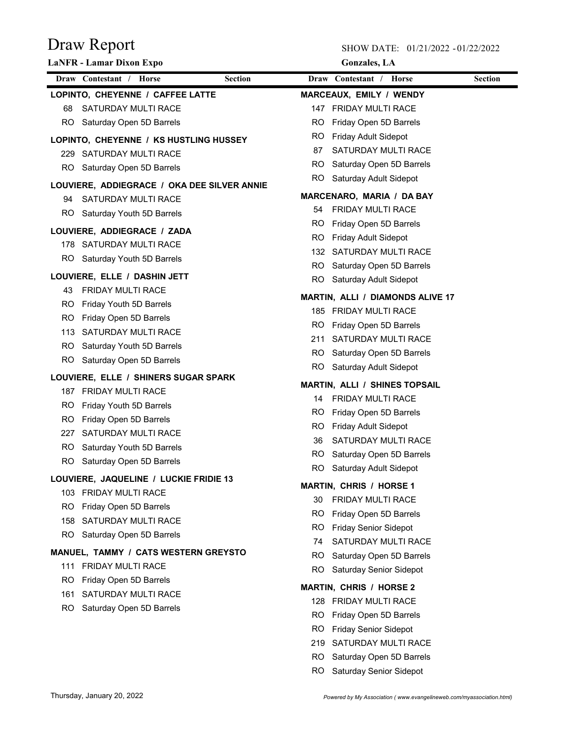SHOW DATE: 01/21/2022 - 01/22/2022

|     | <b>LaNFR</b> - Lamar Dixon Expo             |                |     | <b>Gonzales</b> , LA                 |                                         |                |
|-----|---------------------------------------------|----------------|-----|--------------------------------------|-----------------------------------------|----------------|
|     | Draw Contestant / Horse                     | <b>Section</b> |     | Draw Contestant / Horse              |                                         | <b>Section</b> |
|     | LOPINTO, CHEYENNE / CAFFEE LATTE            |                |     | MARCEAUX, EMILY / WENDY              |                                         |                |
| 68  | SATURDAY MULTI RACE                         |                |     | 147 FRIDAY MULTI RACE                |                                         |                |
| RO. | Saturday Open 5D Barrels                    |                | RO. | Friday Open 5D Barrels               |                                         |                |
|     | LOPINTO, CHEYENNE / KS HUSTLING HUSSEY      |                | RO. | <b>Friday Adult Sidepot</b>          |                                         |                |
|     | 229 SATURDAY MULTI RACE                     |                | 87  | SATURDAY MULTI RACE                  |                                         |                |
|     | RO Saturday Open 5D Barrels                 |                | RO. | Saturday Open 5D Barrels             |                                         |                |
|     | LOUVIERE, ADDIEGRACE / OKA DEE SILVER ANNIE |                | RO. | Saturday Adult Sidepot               |                                         |                |
| 94  | SATURDAY MULTI RACE                         |                |     | MARCENARO, MARIA / DA BAY            |                                         |                |
|     | RO Saturday Youth 5D Barrels                |                | 54  | <b>FRIDAY MULTI RACE</b>             |                                         |                |
|     |                                             |                | RO. | Friday Open 5D Barrels               |                                         |                |
|     | LOUVIERE, ADDIEGRACE / ZADA                 |                | RO. | <b>Friday Adult Sidepot</b>          |                                         |                |
|     | 178 SATURDAY MULTI RACE                     |                |     | 132 SATURDAY MULTI RACE              |                                         |                |
|     | RO Saturday Youth 5D Barrels                |                |     | RO Saturday Open 5D Barrels          |                                         |                |
|     | LOUVIERE, ELLE / DASHIN JETT                |                | RO. | Saturday Adult Sidepot               |                                         |                |
| 43  | <b>FRIDAY MULTI RACE</b>                    |                |     |                                      | <b>MARTIN, ALLI / DIAMONDS ALIVE 17</b> |                |
| RO. | Friday Youth 5D Barrels                     |                |     | 185 FRIDAY MULTI RACE                |                                         |                |
| RO. | Friday Open 5D Barrels                      |                | RO. | Friday Open 5D Barrels               |                                         |                |
| 113 | SATURDAY MULTI RACE                         |                | 211 | SATURDAY MULTI RACE                  |                                         |                |
| RO. | Saturday Youth 5D Barrels                   |                | RO. | Saturday Open 5D Barrels             |                                         |                |
| RO. | Saturday Open 5D Barrels                    |                |     | RO Saturday Adult Sidepot            |                                         |                |
|     | LOUVIERE, ELLE / SHINERS SUGAR SPARK        |                |     |                                      |                                         |                |
|     | 187 FRIDAY MULTI RACE                       |                |     | <b>MARTIN, ALLI / SHINES TOPSAIL</b> |                                         |                |
| RO. | Friday Youth 5D Barrels                     |                | 14  | <b>FRIDAY MULTI RACE</b>             |                                         |                |
| RO. | Friday Open 5D Barrels                      |                | RO. | Friday Open 5D Barrels               |                                         |                |
| 227 | SATURDAY MULTI RACE                         |                | RO. | Friday Adult Sidepot                 |                                         |                |
| RO. | Saturday Youth 5D Barrels                   |                | 36  | SATURDAY MULTI RACE                  |                                         |                |
| RO  | Saturday Open 5D Barrels                    |                | RO. | Saturday Open 5D Barrels             |                                         |                |
|     | LOUVIERE, JAQUELINE / LUCKIE FRIDIE 13      |                | RO. | Saturday Adult Sidepot               |                                         |                |
|     | 103 FRIDAY MULTI RACE                       |                |     | <b>MARTIN, CHRIS / HORSE 1</b>       |                                         |                |
| RO. | Friday Open 5D Barrels                      |                | 30  | <b>FRIDAY MULTI RACE</b>             |                                         |                |
| 158 | SATURDAY MULTI RACE                         |                | RO  | Friday Open 5D Barrels               |                                         |                |
|     | RO Saturday Open 5D Barrels                 |                | RO. | <b>Friday Senior Sidepot</b>         |                                         |                |
|     |                                             |                | 74  | SATURDAY MULTI RACE                  |                                         |                |
|     | MANUEL, TAMMY / CATS WESTERN GREYSTO        |                | RO. | Saturday Open 5D Barrels             |                                         |                |
|     | 111 FRIDAY MULTI RACE                       |                | RO. | <b>Saturday Senior Sidepot</b>       |                                         |                |
| RO. | Friday Open 5D Barrels                      |                |     | <b>MARTIN, CHRIS / HORSE 2</b>       |                                         |                |
| 161 | SATURDAY MULTI RACE                         |                |     | 128 FRIDAY MULTI RACE                |                                         |                |
| RO. | Saturday Open 5D Barrels                    |                | RO. | Friday Open 5D Barrels               |                                         |                |
|     |                                             |                | RO. | <b>Friday Senior Sidepot</b>         |                                         |                |
|     |                                             |                | 219 | SATURDAY MULTI RACE                  |                                         |                |
|     |                                             |                | RO. | Saturday Open 5D Barrels             |                                         |                |

RO Saturday Senior Sidepot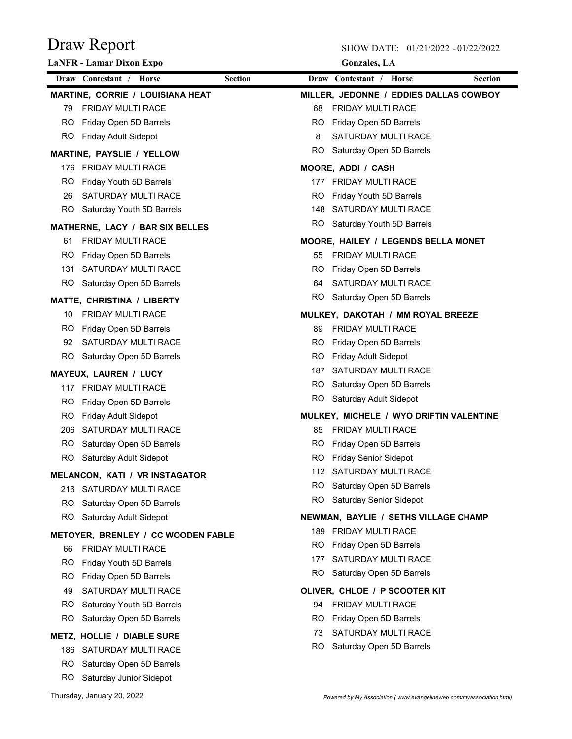|     | <b>LaNFR - Lamar Dixon Expo</b>                       |                | <b>Gonzales</b> , LA                      |
|-----|-------------------------------------------------------|----------------|-------------------------------------------|
|     | Draw Contestant / Horse                               | <b>Section</b> | Draw Contestant / Horse<br><b>Section</b> |
|     | MARTINE, CORRIE / LOUISIANA HEAT                      |                | MILLER, JEDONNE / EDDIES DALLAS COWBOY    |
| 79  | <b>FRIDAY MULTI RACE</b>                              |                | <b>FRIDAY MULTI RACE</b><br>68            |
| RO. | Friday Open 5D Barrels                                |                | RO Friday Open 5D Barrels                 |
| RO. | Friday Adult Sidepot                                  |                | SATURDAY MULTI RACE<br>8                  |
|     | <b>MARTINE, PAYSLIE / YELLOW</b>                      |                | RO Saturday Open 5D Barrels               |
|     | 176 FRIDAY MULTI RACE                                 |                | MOORE, ADDI / CASH                        |
| RO. | Friday Youth 5D Barrels                               |                | 177 FRIDAY MULTI RACE                     |
| 26  | SATURDAY MULTI RACE                                   |                | RO Friday Youth 5D Barrels                |
|     | RO Saturday Youth 5D Barrels                          |                | 148 SATURDAY MULTI RACE                   |
|     | MATHERNE, LACY / BAR SIX BELLES                       |                | RO Saturday Youth 5D Barrels              |
| 61  | <b>FRIDAY MULTI RACE</b>                              |                | MOORE, HAILEY / LEGENDS BELLA MONET       |
| RO. | Friday Open 5D Barrels                                |                | 55 FRIDAY MULTI RACE                      |
| 131 | SATURDAY MULTI RACE                                   |                | Friday Open 5D Barrels<br>RO.             |
| RO. | Saturday Open 5D Barrels                              |                | SATURDAY MULTI RACE<br>64                 |
|     | <b>MATTE, CHRISTINA / LIBERTY</b>                     |                | RO Saturday Open 5D Barrels               |
| 10  | <b>FRIDAY MULTI RACE</b>                              |                | MULKEY, DAKOTAH / MM ROYAL BREEZE         |
| RO. | Friday Open 5D Barrels                                |                | <b>FRIDAY MULTI RACE</b><br>89            |
| 92  | SATURDAY MULTI RACE                                   |                | RO.<br>Friday Open 5D Barrels             |
| RO. | Saturday Open 5D Barrels                              |                | RO.<br>Friday Adult Sidepot               |
|     | <b>MAYEUX, LAUREN / LUCY</b>                          |                | 187 SATURDAY MULTI RACE                   |
|     | 117 FRIDAY MULTI RACE                                 |                | Saturday Open 5D Barrels<br>RO.           |
| RO. | Friday Open 5D Barrels                                |                | RO Saturday Adult Sidepot                 |
| RO. | Friday Adult Sidepot                                  |                | MULKEY, MICHELE / WYO DRIFTIN VALENTINE   |
|     | 206 SATURDAY MULTI RACE                               |                | <b>FRIDAY MULTI RACE</b><br>85            |
| RO. | Saturday Open 5D Barrels                              |                | Friday Open 5D Barrels<br>RO.             |
| RO. | Saturday Adult Sidepot                                |                | <b>Friday Senior Sidepot</b><br>RO.       |
|     | MELANCON, KATI / VR INSTAGATOR                        |                | 112 SATURDAY MULTI RACE                   |
|     | 216 SATURDAY MULTI RACE                               |                | RO Saturday Open 5D Barrels               |
|     | RO Saturday Open 5D Barrels                           |                | RO Saturday Senior Sidepot                |
|     | RO Saturday Adult Sidepot                             |                | NEWMAN, BAYLIE / SETHS VILLAGE CHAMP      |
|     | METOYER, BRENLEY / CC WOODEN FABLE                    |                | 189 FRIDAY MULTI RACE                     |
| 66  | <b>FRIDAY MULTI RACE</b>                              |                | RO.<br>Friday Open 5D Barrels             |
| RO. | Friday Youth 5D Barrels                               |                | SATURDAY MULTI RACE<br>177                |
| RO. | Friday Open 5D Barrels                                |                | RO.<br>Saturday Open 5D Barrels           |
| 49  | SATURDAY MULTI RACE                                   |                | OLIVER, CHLOE / P SCOOTER KIT             |
| RO. | Saturday Youth 5D Barrels                             |                | <b>FRIDAY MULTI RACE</b><br>94            |
| RO. | Saturday Open 5D Barrels                              |                | RO.<br>Friday Open 5D Barrels             |
|     |                                                       |                | SATURDAY MULTI RACE<br>73                 |
|     | METZ, HOLLIE / DIABLE SURE<br>186 SATURDAY MULTI RACE |                | <b>RO</b><br>Saturday Open 5D Barrels     |
| RO  | Saturday Open 5D Barrels                              |                |                                           |
| RO. | Saturday Junior Sidepot                               |                |                                           |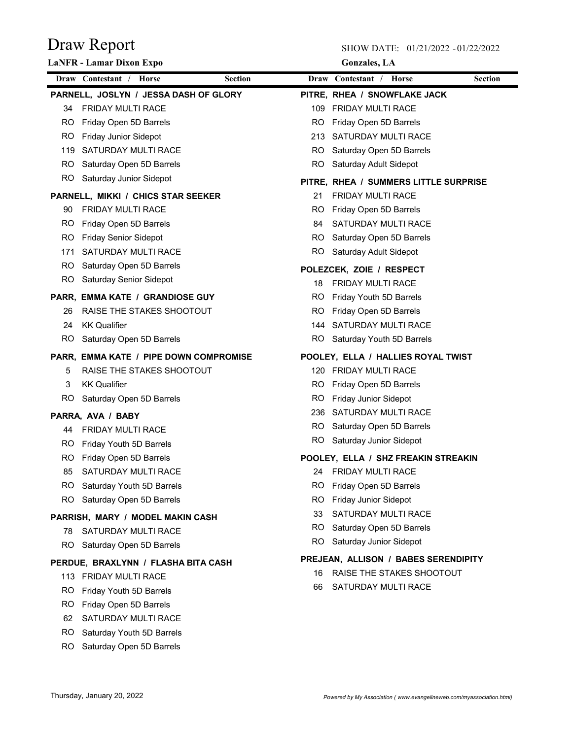|     | <b>LaNFR</b> - Lamar Dixon Expo                     | Gonzales, LA                                                   |
|-----|-----------------------------------------------------|----------------------------------------------------------------|
|     | Draw Contestant /<br><b>Horse</b><br><b>Section</b> | Draw Contestant /<br><b>Section</b><br><b>Horse</b>            |
|     | PARNELL, JOSLYN / JESSA DASH OF GLORY               | PITRE, RHEA / SNOWFLAKE JACK                                   |
| 34  | <b>FRIDAY MULTI RACE</b>                            | 109 FRIDAY MULTI RACE                                          |
| RO. | Friday Open 5D Barrels                              | RO.<br>Friday Open 5D Barrels                                  |
| RO. | <b>Friday Junior Sidepot</b>                        | SATURDAY MULTI RACE<br>213                                     |
| 119 | SATURDAY MULTI RACE                                 | RO.<br>Saturday Open 5D Barrels                                |
| RO. | Saturday Open 5D Barrels                            | RO.<br>Saturday Adult Sidepot                                  |
|     | RO Saturday Junior Sidepot                          | PITRE, RHEA / SUMMERS LITTLE SURPRISE                          |
|     | PARNELL, MIKKI / CHICS STAR SEEKER                  | <b>FRIDAY MULTI RACE</b><br>21                                 |
| 90. | <b>FRIDAY MULTI RACE</b>                            | RO.<br>Friday Open 5D Barrels                                  |
| RO. | Friday Open 5D Barrels                              | SATURDAY MULTI RACE<br>84                                      |
| RO. | <b>Friday Senior Sidepot</b>                        | Saturday Open 5D Barrels<br>RO.                                |
| 171 | SATURDAY MULTI RACE                                 | RO Saturday Adult Sidepot                                      |
| RO. | Saturday Open 5D Barrels                            | POLEZCEK, ZOIE / RESPECT                                       |
|     | RO Saturday Senior Sidepot                          | <b>FRIDAY MULTI RACE</b><br>18                                 |
|     | PARR, EMMA KATE / GRANDIOSE GUY                     | RO.<br>Friday Youth 5D Barrels                                 |
| 26  | RAISE THE STAKES SHOOTOUT                           | Friday Open 5D Barrels<br>RO.                                  |
| 24  | <b>KK Qualifier</b>                                 | SATURDAY MULTI RACE<br>144                                     |
|     | RO Saturday Open 5D Barrels                         | RO Saturday Youth 5D Barrels                                   |
|     |                                                     |                                                                |
|     | PARR, EMMA KATE / PIPE DOWN COMPROMISE              | POOLEY, ELLA / HALLIES ROYAL TWIST                             |
| 5   | RAISE THE STAKES SHOOTOUT<br><b>KK Qualifier</b>    | 120 FRIDAY MULTI RACE                                          |
| 3   |                                                     | RO.<br>Friday Open 5D Barrels                                  |
| RO. | Saturday Open 5D Barrels                            | RO.<br><b>Friday Junior Sidepot</b><br>236 SATURDAY MULTI RACE |
|     | PARRA, AVA / BABY                                   | Saturday Open 5D Barrels<br>RO.                                |
| 44  | <b>FRIDAY MULTI RACE</b>                            | RO Saturday Junior Sidepot                                     |
| RO. | Friday Youth 5D Barrels                             |                                                                |
| RO. | Friday Open 5D Barrels                              | POOLEY, ELLA / SHZ FREAKIN STREAKIN                            |
| 85  | SATURDAY MULTI RACE                                 | 24 FRIDAY MULTI RACE                                           |
| RO. | Saturday Youth 5D Barrels                           | RO.<br>Friday Open 5D Barrels                                  |
| RO. | Saturday Open 5D Barrels                            | <b>RO</b><br>Friday Junior Sidepot                             |
|     | PARRISH, MARY / MODEL MAKIN CASH                    | SATURDAY MULTI RACE<br>33                                      |
| 78  | <b>SATURDAY MULTI RACE</b>                          | Saturday Open 5D Barrels<br>RO.                                |
| RO. | Saturday Open 5D Barrels                            | RO.<br>Saturday Junior Sidepot                                 |
|     | PERDUE, BRAXLYNN / FLASHA BITA CASH                 | PREJEAN, ALLISON / BABES SERENDIPITY                           |
|     | 113 FRIDAY MULTI RACE                               | RAISE THE STAKES SHOOTOUT<br>16                                |
| RO. | Friday Youth 5D Barrels                             | SATURDAY MULTI RACE<br>66                                      |
| RO. | Friday Open 5D Barrels                              |                                                                |
| 62  | SATURDAY MULTI RACE                                 |                                                                |
| RO. | Saturday Youth 5D Barrels                           |                                                                |
| RO. | Saturday Open 5D Barrels                            |                                                                |
|     |                                                     |                                                                |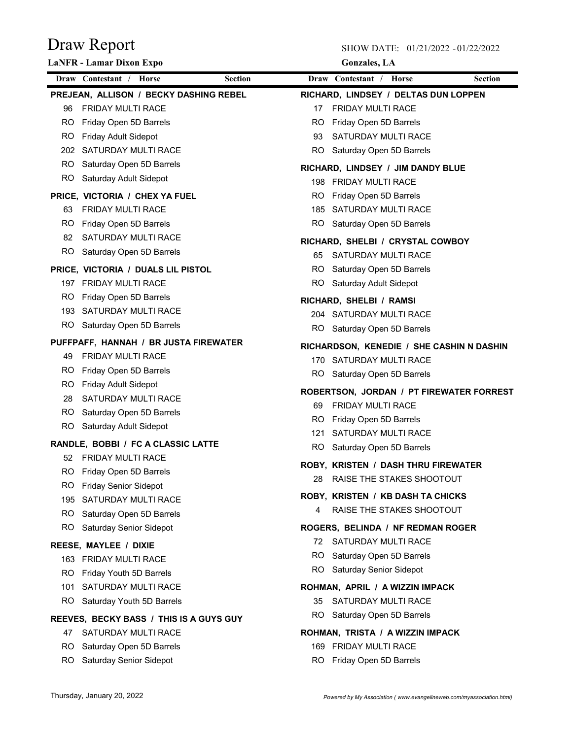| <b>Gonzales, LA</b> |  |
|---------------------|--|
|---------------------|--|

|     | <b>LaNFR</b> - Lamar Dixon Expo           |                |           | <b>Gonzales</b> , LA                                      |                |
|-----|-------------------------------------------|----------------|-----------|-----------------------------------------------------------|----------------|
|     | Draw Contestant / Horse                   | <b>Section</b> |           | Draw Contestant / Horse                                   | <b>Section</b> |
|     | PREJEAN, ALLISON / BECKY DASHING REBEL    |                |           | RICHARD, LINDSEY / DELTAS DUN LOPPEN                      |                |
| 96  | <b>FRIDAY MULTI RACE</b>                  |                | 17        | <b>FRIDAY MULTI RACE</b>                                  |                |
| RO. | Friday Open 5D Barrels                    |                | RO.       | Friday Open 5D Barrels                                    |                |
| RO. | Friday Adult Sidepot                      |                | 93        | SATURDAY MULTI RACE                                       |                |
|     | 202 SATURDAY MULTI RACE                   |                |           | RO Saturday Open 5D Barrels                               |                |
|     | RO Saturday Open 5D Barrels               |                |           | RICHARD, LINDSEY / JIM DANDY BLUE                         |                |
|     | RO Saturday Adult Sidepot                 |                |           | 198 FRIDAY MULTI RACE                                     |                |
|     | PRICE, VICTORIA / CHEX YA FUEL            |                | RO.       | Friday Open 5D Barrels                                    |                |
| 63  | <b>FRIDAY MULTI RACE</b>                  |                |           | 185 SATURDAY MULTI RACE                                   |                |
| RO. | Friday Open 5D Barrels                    |                |           | RO Saturday Open 5D Barrels                               |                |
| 82  | SATURDAY MULTI RACE                       |                |           | RICHARD, SHELBI / CRYSTAL COWBOY                          |                |
|     | RO Saturday Open 5D Barrels               |                | 65        | SATURDAY MULTI RACE                                       |                |
|     | PRICE, VICTORIA / DUALS LIL PISTOL        |                |           | RO Saturday Open 5D Barrels                               |                |
|     | 197 FRIDAY MULTI RACE                     |                |           | RO Saturday Adult Sidepot                                 |                |
| RO. | Friday Open 5D Barrels                    |                |           | RICHARD, SHELBI / RAMSI                                   |                |
|     | 193 SATURDAY MULTI RACE                   |                |           | 204 SATURDAY MULTI RACE                                   |                |
|     | RO Saturday Open 5D Barrels               |                |           | RO Saturday Open 5D Barrels                               |                |
|     | PUFFPAFF, HANNAH / BR JUSTA FIREWATER     |                |           |                                                           |                |
| 49  | <b>FRIDAY MULTI RACE</b>                  |                |           | RICHARDSON, KENEDIE / SHE CASHIN N DASHIN                 |                |
| RO. | Friday Open 5D Barrels                    |                |           | 170 SATURDAY MULTI RACE                                   |                |
| RO. | <b>Friday Adult Sidepot</b>               |                |           | RO Saturday Open 5D Barrels                               |                |
| 28  | SATURDAY MULTI RACE                       |                |           | ROBERTSON, JORDAN / PT FIREWATER FORREST                  |                |
| RO. | Saturday Open 5D Barrels                  |                | 69        | <b>FRIDAY MULTI RACE</b>                                  |                |
|     | RO Saturday Adult Sidepot                 |                | RO.       | Friday Open 5D Barrels                                    |                |
|     | <b>RANDLE, BOBBI / FC A CLASSIC LATTE</b> |                | 121       | SATURDAY MULTI RACE                                       |                |
| 52  | <b>FRIDAY MULTI RACE</b>                  |                |           | RO Saturday Open 5D Barrels                               |                |
| RO. | Friday Open 5D Barrels                    |                |           | <b>ROBY, KRISTEN / DASH THRU FIREWATER</b>                |                |
| RO. | <b>Friday Senior Sidepot</b>              |                |           | 28 RAISE THE STAKES SHOOTOUT                              |                |
| 195 | SATURDAY MULTI RACE                       |                |           | ROBY, KRISTEN / KB DASH TA CHICKS                         |                |
| RO. | Saturday Open 5D Barrels                  |                | 4         | RAISE THE STAKES SHOOTOUT                                 |                |
| RO. | <b>Saturday Senior Sidepot</b>            |                |           | ROGERS, BELINDA / NF REDMAN ROGER                         |                |
|     | REESE, MAYLEE / DIXIE                     |                | 72        | <b>SATURDAY MULTI RACE</b>                                |                |
|     | 163 FRIDAY MULTI RACE                     |                | <b>RO</b> | Saturday Open 5D Barrels                                  |                |
| RO. | Friday Youth 5D Barrels                   |                | RO.       | Saturday Senior Sidepot                                   |                |
| 101 | SATURDAY MULTI RACE                       |                |           | ROHMAN, APRIL / A WIZZIN IMPACK                           |                |
| RO. | Saturday Youth 5D Barrels                 |                |           | 35 SATURDAY MULTI RACE                                    |                |
|     |                                           |                | RO.       | Saturday Open 5D Barrels                                  |                |
|     | REEVES, BECKY BASS / THIS IS A GUYS GUY   |                |           |                                                           |                |
|     | 47 SATURDAY MULTI RACE                    |                |           | ROHMAN, TRISTA / A WIZZIN IMPACK<br>169 FRIDAY MULTI RACE |                |
| RO. | Saturday Open 5D Barrels                  |                |           |                                                           |                |
| RO. | Saturday Senior Sidepot                   |                | RO.       | Friday Open 5D Barrels                                    |                |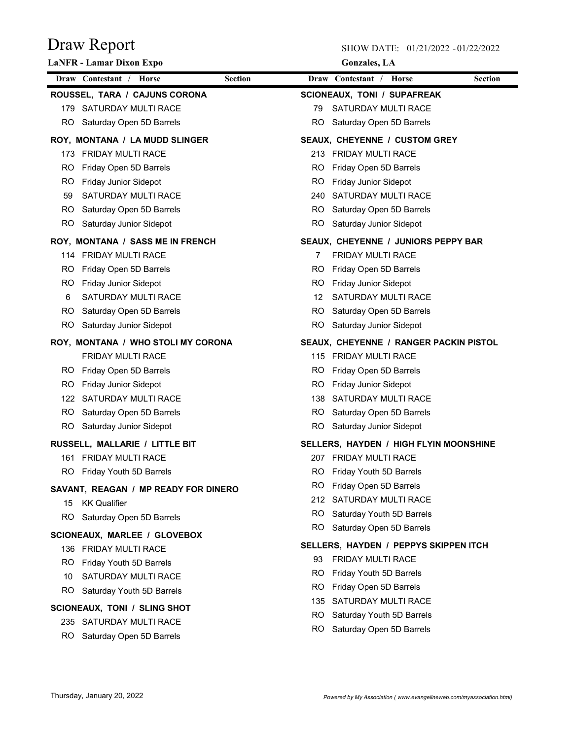|     | <b>LaNFR</b> - Lamar Dixon Expo                         | <b>Gonzales</b> , LA                         |  |  |
|-----|---------------------------------------------------------|----------------------------------------------|--|--|
|     | <b>Section</b><br>Draw Contestant /<br>Horse            | Draw Contestant /<br><b>Section</b><br>Horse |  |  |
|     | ROUSSEL, TARA / CAJUNS CORONA                           | <b>SCIONEAUX, TONI / SUPAFREAK</b>           |  |  |
|     | 179 SATURDAY MULTI RACE                                 | SATURDAY MULTI RACE<br>79                    |  |  |
| RO. | Saturday Open 5D Barrels                                | RO.<br>Saturday Open 5D Barrels              |  |  |
|     | ROY, MONTANA / LA MUDD SLINGER                          | <b>SEAUX, CHEYENNE / CUSTOM GREY</b>         |  |  |
|     | 173 FRIDAY MULTI RACE                                   | 213 FRIDAY MULTI RACE                        |  |  |
| RO. | Friday Open 5D Barrels                                  | Friday Open 5D Barrels<br>RO.                |  |  |
| RO. | <b>Friday Junior Sidepot</b>                            | <b>Friday Junior Sidepot</b><br>RO.          |  |  |
| 59  | SATURDAY MULTI RACE                                     | SATURDAY MULTI RACE<br>240                   |  |  |
| RO. | Saturday Open 5D Barrels                                | Saturday Open 5D Barrels<br>RO.              |  |  |
|     | RO Saturday Junior Sidepot                              | RO<br>Saturday Junior Sidepot                |  |  |
|     | ROY, MONTANA / SASS ME IN FRENCH                        | SEAUX, CHEYENNE / JUNIORS PEPPY BAR          |  |  |
|     | 114 FRIDAY MULTI RACE                                   | <b>FRIDAY MULTI RACE</b><br>7                |  |  |
| RO. | Friday Open 5D Barrels                                  | <b>RO</b><br>Friday Open 5D Barrels          |  |  |
| RO. | <b>Friday Junior Sidepot</b>                            | <b>RO</b><br>Friday Junior Sidepot           |  |  |
| 6   | <b>SATURDAY MULTI RACE</b>                              | SATURDAY MULTI RACE<br>12                    |  |  |
| RO. | Saturday Open 5D Barrels                                | <b>RO</b><br>Saturday Open 5D Barrels        |  |  |
| RO. | Saturday Junior Sidepot                                 | <b>RO</b><br>Saturday Junior Sidepot         |  |  |
|     | ROY, MONTANA / WHO STOLI MY CORONA                      | SEAUX, CHEYENNE / RANGER PACKIN PISTOL       |  |  |
|     | FRIDAY MULTI RACE                                       | 115 FRIDAY MULTI RACE                        |  |  |
|     | RO Friday Open 5D Barrels                               | RO.<br>Friday Open 5D Barrels                |  |  |
| RO. | <b>Friday Junior Sidepot</b>                            | RO.<br><b>Friday Junior Sidepot</b>          |  |  |
|     | 122 SATURDAY MULTI RACE                                 | SATURDAY MULTI RACE<br>138                   |  |  |
|     | RO Saturday Open 5D Barrels                             | Saturday Open 5D Barrels<br>RO.              |  |  |
|     | RO Saturday Junior Sidepot                              | RO.<br>Saturday Junior Sidepot               |  |  |
|     | RUSSELL, MALLARIE / LITTLE BIT                          | SELLERS, HAYDEN / HIGH FLYIN MOONSHINE       |  |  |
|     | 161 FRIDAY MULTI RACE                                   | 207 FRIDAY MULTI RACE                        |  |  |
|     | RO Friday Youth 5D Barrels                              | RO Fridav Youth 5D Barrels                   |  |  |
|     | SAVANT, REAGAN / MP READY FOR DINERO                    | RO Friday Open 5D Barrels                    |  |  |
|     | 15 KK Qualifier                                         | 212 SATURDAY MULTI RACE                      |  |  |
| RO. | Saturday Open 5D Barrels                                | RO.<br>Saturday Youth 5D Barrels             |  |  |
|     | <b>SCIONEAUX, MARLEE / GLOVEBOX</b>                     | RO.<br>Saturday Open 5D Barrels              |  |  |
|     | 136 FRIDAY MULTI RACE                                   | SELLERS, HAYDEN / PEPPYS SKIPPEN ITCH        |  |  |
|     | RO Friday Youth 5D Barrels                              | <b>FRIDAY MULTI RACE</b><br>93               |  |  |
| 10  | SATURDAY MULTI RACE                                     | RO.<br>Friday Youth 5D Barrels               |  |  |
|     | RO Saturday Youth 5D Barrels                            | Friday Open 5D Barrels<br>RO.                |  |  |
|     |                                                         | SATURDAY MULTI RACE<br>135                   |  |  |
|     | SCIONEAUX, TONI / SLING SHOT<br>235 SATURDAY MULTI RACE | RO.<br>Saturday Youth 5D Barrels             |  |  |
|     |                                                         | RO.<br>Saturday Open 5D Barrels              |  |  |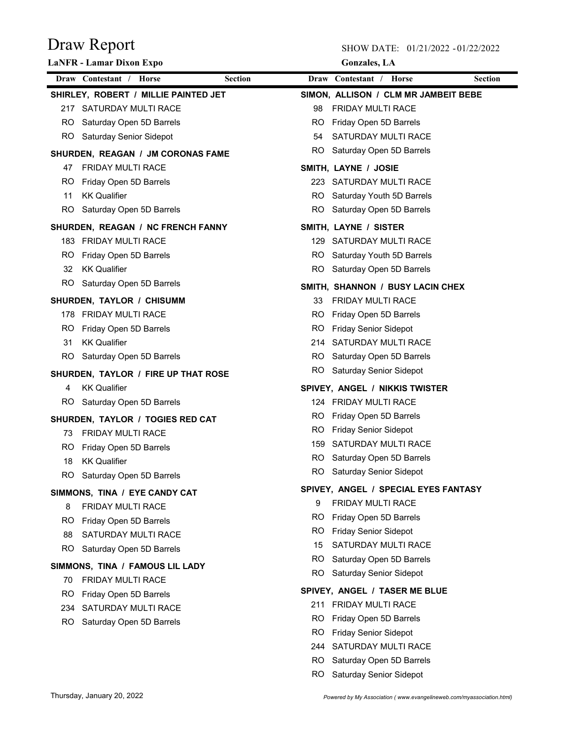|     | <b>LaNFR</b> - Lamar Dixon Expo      |                |           | <b>Gonzales</b> , LA                 |                |
|-----|--------------------------------------|----------------|-----------|--------------------------------------|----------------|
|     | Draw Contestant / Horse              | <b>Section</b> |           | Draw Contestant / Horse              | <b>Section</b> |
|     | SHIRLEY, ROBERT / MILLIE PAINTED JET |                |           | SIMON, ALLISON / CLM MR JAMBEIT BEBE |                |
|     | 217 SATURDAY MULTI RACE              |                | 98        | <b>FRIDAY MULTI RACE</b>             |                |
|     | RO Saturday Open 5D Barrels          |                | RO.       | Friday Open 5D Barrels               |                |
|     | RO Saturday Senior Sidepot           |                | 54        | SATURDAY MULTI RACE                  |                |
|     | SHURDEN, REAGAN / JM CORONAS FAME    |                |           | RO Saturday Open 5D Barrels          |                |
| 47  | <b>FRIDAY MULTI RACE</b>             |                |           | SMITH, LAYNE / JOSIE                 |                |
| RO. | Friday Open 5D Barrels               |                |           | 223 SATURDAY MULTI RACE              |                |
| 11  | <b>KK Qualifier</b>                  |                |           | RO Saturday Youth 5D Barrels         |                |
| RO. | Saturday Open 5D Barrels             |                | RO.       | Saturday Open 5D Barrels             |                |
|     | SHURDEN, REAGAN / NC FRENCH FANNY    |                |           | SMITH, LAYNE / SISTER                |                |
|     | 183 FRIDAY MULTI RACE                |                |           | 129 SATURDAY MULTI RACE              |                |
| RO. | Friday Open 5D Barrels               |                |           | RO Saturday Youth 5D Barrels         |                |
| 32  | <b>KK Qualifier</b>                  |                |           | RO Saturday Open 5D Barrels          |                |
|     | RO Saturday Open 5D Barrels          |                |           | SMITH, SHANNON / BUSY LACIN CHEX     |                |
|     | SHURDEN, TAYLOR / CHISUMM            |                | 33        | <b>FRIDAY MULTI RACE</b>             |                |
|     | 178 FRIDAY MULTI RACE                |                | RO.       | Friday Open 5D Barrels               |                |
| RO. | Friday Open 5D Barrels               |                | RO.       | <b>Friday Senior Sidepot</b>         |                |
| 31  | <b>KK Qualifier</b>                  |                |           | 214 SATURDAY MULTI RACE              |                |
| RO. | Saturday Open 5D Barrels             |                | RO.       | Saturday Open 5D Barrels             |                |
|     | SHURDEN, TAYLOR / FIRE UP THAT ROSE  |                | RO.       | <b>Saturday Senior Sidepot</b>       |                |
| 4   | <b>KK Qualifier</b>                  |                |           | SPIVEY, ANGEL / NIKKIS TWISTER       |                |
| RO. | Saturday Open 5D Barrels             |                |           | 124 FRIDAY MULTI RACE                |                |
|     | SHURDEN, TAYLOR / TOGIES RED CAT     |                | RO.       | Friday Open 5D Barrels               |                |
| 73. | <b>FRIDAY MULTI RACE</b>             |                | RO.       | <b>Friday Senior Sidepot</b>         |                |
| RO. | Friday Open 5D Barrels               |                | 159       | SATURDAY MULTI RACE                  |                |
| 18  | <b>KK Qualifier</b>                  |                | RO.       | Saturday Open 5D Barrels             |                |
|     | RO Saturday Open 5D Barrels          |                |           | RO Saturday Senior Sidepot           |                |
|     | SIMMONS, TINA / EYE CANDY CAT        |                |           | SPIVEY, ANGEL / SPECIAL EYES FANTASY |                |
| 8   | FRIDAY MULTI RACE                    |                | 9         | FRIDAY MULTI RACE                    |                |
| RO. | Friday Open 5D Barrels               |                | RO        | Friday Open 5D Barrels               |                |
| 88  | SATURDAY MULTI RACE                  |                | RO        | <b>Friday Senior Sidepot</b>         |                |
|     | RO Saturday Open 5D Barrels          |                | 15        | SATURDAY MULTI RACE                  |                |
|     | SIMMONS, TINA / FAMOUS LIL LADY      |                | RO.       | Saturday Open 5D Barrels             |                |
| 70  | <b>FRIDAY MULTI RACE</b>             |                | RO.       | <b>Saturday Senior Sidepot</b>       |                |
| RO. | Friday Open 5D Barrels               |                |           | SPIVEY, ANGEL / TASER ME BLUE        |                |
|     | 234 SATURDAY MULTI RACE              |                |           | 211 FRIDAY MULTI RACE                |                |
| RO. | Saturday Open 5D Barrels             |                | <b>RO</b> | Friday Open 5D Barrels               |                |
|     |                                      |                | <b>RO</b> | <b>Friday Senior Sidepot</b>         |                |
|     |                                      |                | 244       | SATURDAY MULTI RACE                  |                |
|     |                                      |                | RO.       | Saturday Open 5D Barrels             |                |
|     |                                      |                | RO.       | Saturday Senior Sidepot              |                |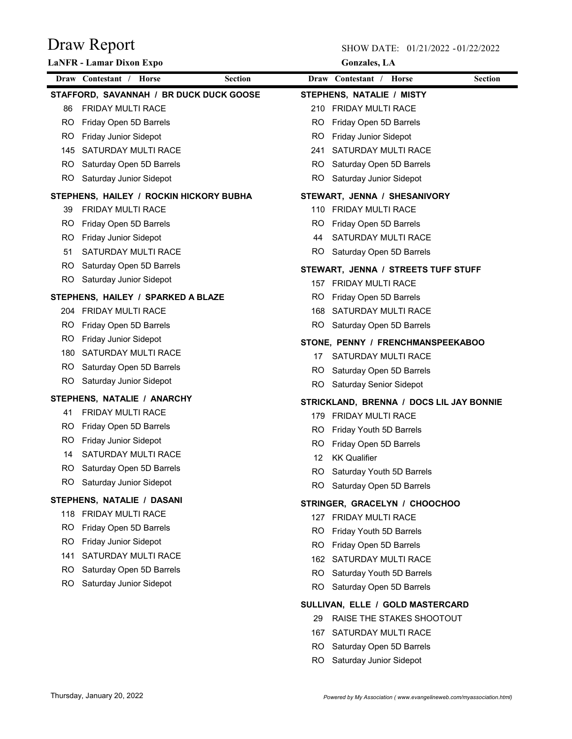|           | <b>LaNFR</b> - Lamar Dixon Expo         |                |     | <b>Gonzales</b> , LA                     |                |
|-----------|-----------------------------------------|----------------|-----|------------------------------------------|----------------|
|           | Draw Contestant / Horse                 | <b>Section</b> |     | Draw Contestant / Horse                  | <b>Section</b> |
|           | STAFFORD, SAVANNAH / BR DUCK DUCK GOOSE |                |     | STEPHENS, NATALIE / MISTY                |                |
| 86        | <b>FRIDAY MULTI RACE</b>                |                |     | 210 FRIDAY MULTI RACE                    |                |
| RO.       | Friday Open 5D Barrels                  |                | RO. | Friday Open 5D Barrels                   |                |
| RO.       | <b>Friday Junior Sidepot</b>            |                | RO. | Friday Junior Sidepot                    |                |
| 145       | SATURDAY MULTI RACE                     |                | 241 | SATURDAY MULTI RACE                      |                |
| RO.       | Saturday Open 5D Barrels                |                | RO. | Saturday Open 5D Barrels                 |                |
|           | RO Saturday Junior Sidepot              |                | RO. | Saturday Junior Sidepot                  |                |
|           | STEPHENS, HAILEY / ROCKIN HICKORY BUBHA |                |     | STEWART, JENNA / SHESANIVORY             |                |
| 39        | FRIDAY MULTI RACE                       |                | 110 | <b>FRIDAY MULTI RACE</b>                 |                |
| RO.       | Friday Open 5D Barrels                  |                | RO  | Friday Open 5D Barrels                   |                |
| RO.       | Friday Junior Sidepot                   |                | 44  | SATURDAY MULTI RACE                      |                |
| 51        | SATURDAY MULTI RACE                     |                | RO. | Saturday Open 5D Barrels                 |                |
| RO.       | Saturday Open 5D Barrels                |                |     | STEWART, JENNA / STREETS TUFF STUFF      |                |
| RO.       | Saturday Junior Sidepot                 |                |     | 157 FRIDAY MULTI RACE                    |                |
|           | STEPHENS, HAILEY / SPARKED A BLAZE      |                | RO. | Friday Open 5D Barrels                   |                |
|           | 204 FRIDAY MULTI RACE                   |                | 168 | SATURDAY MULTI RACE                      |                |
| RO        | Friday Open 5D Barrels                  |                | RO. | Saturday Open 5D Barrels                 |                |
| <b>RO</b> | Friday Junior Sidepot                   |                |     | STONE, PENNY / FRENCHMANSPEEKABOO        |                |
| 180       | SATURDAY MULTI RACE                     |                | 17  | SATURDAY MULTI RACE                      |                |
| RO.       | Saturday Open 5D Barrels                |                | RO. | Saturday Open 5D Barrels                 |                |
| RO.       | Saturday Junior Sidepot                 |                |     | RO Saturday Senior Sidepot               |                |
|           | STEPHENS, NATALIE / ANARCHY             |                |     | STRICKLAND, BRENNA / DOCS LIL JAY BONNIE |                |
| 41        | <b>FRIDAY MULTI RACE</b>                |                |     | 179 FRIDAY MULTI RACE                    |                |
| RO.       | Friday Open 5D Barrels                  |                | RO. | Friday Youth 5D Barrels                  |                |
| RO        | Friday Junior Sidepot                   |                | RO. | Friday Open 5D Barrels                   |                |
| 14        | SATURDAY MULTI RACE                     |                | 12  | <b>KK Qualifier</b>                      |                |
| RO.       | Saturday Open 5D Barrels                |                |     | RO Saturday Youth 5D Barrels             |                |
|           | RO Saturday Junior Sidepot              |                |     | RO Saturday Open 5D Barrels              |                |
|           | STEPHENS, NATALIE / DASANI              |                |     | STRINGER, GRACELYN / CHOOCHOO            |                |
|           | 118 FRIDAY MULTI RACE                   |                | 127 | FRIDAY MULTI RACE                        |                |
| RO        | Friday Open 5D Barrels                  |                | RO  | Friday Youth 5D Barrels                  |                |
| <b>RO</b> | <b>Friday Junior Sidepot</b>            |                | RO  | Friday Open 5D Barrels                   |                |
| 141       | SATURDAY MULTI RACE                     |                | 162 | SATURDAY MULTI RACE                      |                |
| RO.       | Saturday Open 5D Barrels                |                | RO. | Saturday Youth 5D Barrels                |                |
| RO.       | Saturday Junior Sidepot                 |                | RO  | Saturday Open 5D Barrels                 |                |
|           |                                         |                |     | SULLIVAN, ELLE / GOLD MASTERCARD         |                |
|           |                                         |                | 29  | RAISE THE STAKES SHOOTOUT                |                |
|           |                                         |                | 167 | SATURDAY MULTI RACE                      |                |
|           |                                         |                | RO. | Saturday Open 5D Barrels                 |                |
|           |                                         |                | RO. | Saturday Junior Sidepot                  |                |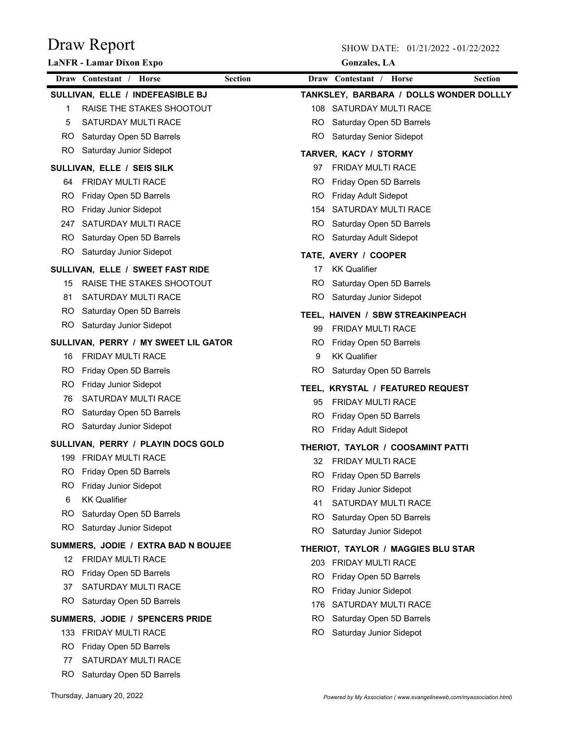|     | <b>LaNFR</b> - Lamar Dixon Expo      |                |           | <b>Gonzales</b> , LA                                        |                |
|-----|--------------------------------------|----------------|-----------|-------------------------------------------------------------|----------------|
|     | Draw Contestant / Horse              | <b>Section</b> |           | Draw Contestant /<br><b>Horse</b>                           | <b>Section</b> |
|     | SULLIVAN, ELLE / INDEFEASIBLE BJ     |                |           | TANKSLEY, BARBARA / DOLLS WONDER DOLLLY                     |                |
| 1   | RAISE THE STAKES SHOOTOUT            |                |           | 108 SATURDAY MULTI RACE                                     |                |
| 5   | <b>SATURDAY MULTI RACE</b>           |                |           | RO Saturday Open 5D Barrels                                 |                |
|     | RO Saturday Open 5D Barrels          |                |           | RO Saturday Senior Sidepot                                  |                |
|     | RO Saturday Junior Sidepot           |                |           | TARVER, KACY / STORMY                                       |                |
|     | SULLIVAN, ELLE / SEIS SILK           |                | 97        | <b>FRIDAY MULTI RACE</b>                                    |                |
| 64  | <b>FRIDAY MULTI RACE</b>             |                | RO.       | Friday Open 5D Barrels                                      |                |
| RO. | Friday Open 5D Barrels               |                | RO.       | Friday Adult Sidepot                                        |                |
| RO. | Friday Junior Sidepot                |                |           | 154 SATURDAY MULTI RACE                                     |                |
|     | 247 SATURDAY MULTI RACE              |                | RO.       | Saturday Open 5D Barrels                                    |                |
|     | RO Saturday Open 5D Barrels          |                | RO.       | Saturday Adult Sidepot                                      |                |
|     | RO Saturday Junior Sidepot           |                |           | TATE, AVERY / COOPER                                        |                |
|     | SULLIVAN, ELLE / SWEET FAST RIDE     |                | 17        | <b>KK Qualifier</b>                                         |                |
| 15  | RAISE THE STAKES SHOOTOUT            |                | RO.       | Saturday Open 5D Barrels                                    |                |
| 81  | SATURDAY MULTI RACE                  |                | RO.       | Saturday Junior Sidepot                                     |                |
|     | RO Saturday Open 5D Barrels          |                |           | TEEL, HAIVEN / SBW STREAKINPEACH                            |                |
|     | RO Saturday Junior Sidepot           |                | 99        | <b>FRIDAY MULTI RACE</b>                                    |                |
|     | SULLIVAN, PERRY / MY SWEET LIL GATOR |                |           | RO Friday Open 5D Barrels                                   |                |
| 16  | <b>FRIDAY MULTI RACE</b>             |                | 9         | <b>KK Qualifier</b>                                         |                |
|     | RO Friday Open 5D Barrels            |                | RO.       | Saturday Open 5D Barrels                                    |                |
| RO. | <b>Friday Junior Sidepot</b>         |                |           | TEEL, KRYSTAL / FEATURED REQUEST                            |                |
| 76  | SATURDAY MULTI RACE                  |                | 95        | <b>FRIDAY MULTI RACE</b>                                    |                |
|     | RO Saturday Open 5D Barrels          |                | RO.       | Friday Open 5D Barrels                                      |                |
|     | RO Saturday Junior Sidepot           |                | RO.       | Friday Adult Sidepot                                        |                |
|     | SULLIVAN, PERRY / PLAYIN DOCS GOLD   |                |           |                                                             |                |
|     | 199 FRIDAY MULTI RACE                |                |           | THERIOT, TAYLOR / COOSAMINT PATTI<br>32 FRIDAY MULTI RACE   |                |
|     | RO Friday Open 5D Barrels            |                | RO        | Friday Open 5D Barrels                                      |                |
| RO. | Friday Junior Sidepot                |                | RO        | Friday Junior Sidepot                                       |                |
| 6   | <b>KK Qualifier</b>                  |                | 41        | SATURDAY MULTI RACE                                         |                |
| RO. | Saturday Open 5D Barrels             |                | RO.       | Saturday Open 5D Barrels                                    |                |
| RO. | Saturday Junior Sidepot              |                | RO.       | Saturday Junior Sidepot                                     |                |
|     | SUMMERS, JODIE / EXTRA BAD N BOUJEE  |                |           |                                                             |                |
|     | 12 FRIDAY MULTI RACE                 |                |           | THERIOT, TAYLOR / MAGGIES BLU STAR<br>203 FRIDAY MULTI RACE |                |
| RO. | Friday Open 5D Barrels               |                | RO.       | Friday Open 5D Barrels                                      |                |
| 37  | SATURDAY MULTI RACE                  |                | RO.       | Friday Junior Sidepot                                       |                |
|     | RO Saturday Open 5D Barrels          |                | 176       | SATURDAY MULTI RACE                                         |                |
|     | SUMMERS, JODIE / SPENCERS PRIDE      |                | RO.       | Saturday Open 5D Barrels                                    |                |
|     | 133 FRIDAY MULTI RACE                |                | <b>RO</b> | Saturday Junior Sidepot                                     |                |
| RO. | Friday Open 5D Barrels               |                |           |                                                             |                |
| 77  | SATURDAY MULTI RACE                  |                |           |                                                             |                |
| RO. | Saturday Open 5D Barrels             |                |           |                                                             |                |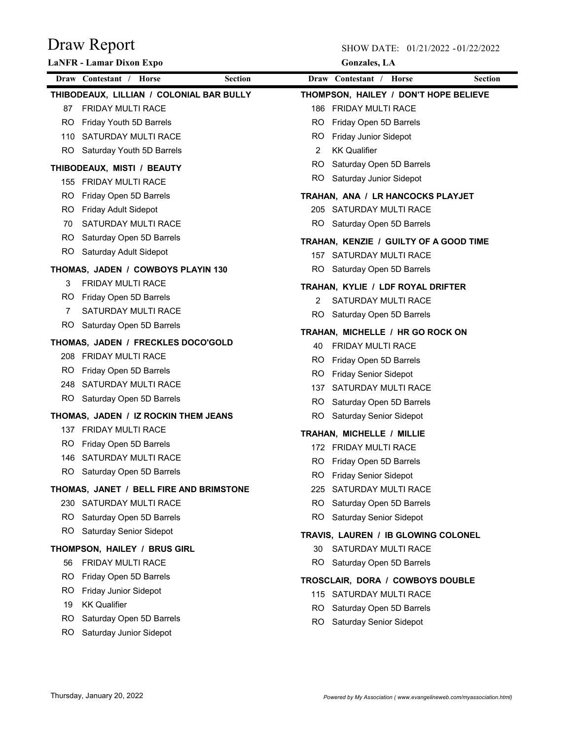SHOW DATE: 01/21/2022 - 01/22/2022

**Gonzales, LA**

|     | <b>LaNFR</b> - Lamar Dixon Expo                               |                |     | <b>Gonzales</b> , LA                                            |                |
|-----|---------------------------------------------------------------|----------------|-----|-----------------------------------------------------------------|----------------|
|     | Draw Contestant / Horse                                       | <b>Section</b> |     | Draw Contestant / Horse                                         | <b>Section</b> |
|     | THIBODEAUX, LILLIAN / COLONIAL BAR BULLY                      |                |     | THOMPSON, HAILEY / DON'T HOPE BELIEVE                           |                |
| 87  | <b>FRIDAY MULTI RACE</b>                                      |                |     | 186 FRIDAY MULTI RACE                                           |                |
| RO. | Friday Youth 5D Barrels                                       |                |     | RO Friday Open 5D Barrels                                       |                |
|     | 110 SATURDAY MULTI RACE                                       |                | RO. | <b>Friday Junior Sidepot</b>                                    |                |
|     | RO Saturday Youth 5D Barrels                                  |                | 2   | <b>KK Qualifier</b>                                             |                |
|     | THIBODEAUX, MISTI / BEAUTY                                    |                |     | RO Saturday Open 5D Barrels                                     |                |
|     | 155 FRIDAY MULTI RACE                                         |                |     | RO Saturday Junior Sidepot                                      |                |
| RO. | Friday Open 5D Barrels                                        |                |     | TRAHAN, ANA / LR HANCOCKS PLAYJET                               |                |
| RO. | Friday Adult Sidepot                                          |                |     | 205 SATURDAY MULTI RACE                                         |                |
| 70  | SATURDAY MULTI RACE                                           |                |     | RO Saturday Open 5D Barrels                                     |                |
|     | RO Saturday Open 5D Barrels                                   |                |     | TRAHAN, KENZIE / GUILTY OF A GOOD TIME                          |                |
|     | RO Saturday Adult Sidepot                                     |                |     | 157 SATURDAY MULTI RACE                                         |                |
|     | THOMAS, JADEN / COWBOYS PLAYIN 130                            |                |     | RO Saturday Open 5D Barrels                                     |                |
| 3   | <b>FRIDAY MULTI RACE</b>                                      |                |     |                                                                 |                |
| RO. | Friday Open 5D Barrels                                        |                | 2   | TRAHAN, KYLIE / LDF ROYAL DRIFTER<br><b>SATURDAY MULTI RACE</b> |                |
| 7   | SATURDAY MULTI RACE                                           |                |     | RO Saturday Open 5D Barrels                                     |                |
|     | RO Saturday Open 5D Barrels                                   |                |     |                                                                 |                |
|     | THOMAS, JADEN / FRECKLES DOCO'GOLD                            |                |     | TRAHAN, MICHELLE / HR GO ROCK ON                                |                |
|     | 208 FRIDAY MULTI RACE                                         |                | 40  | FRIDAY MULTI RACE                                               |                |
| RO. | Friday Open 5D Barrels                                        |                |     | RO Friday Open 5D Barrels                                       |                |
|     | 248 SATURDAY MULTI RACE                                       |                | RO. | <b>Friday Senior Sidepot</b>                                    |                |
|     | RO Saturday Open 5D Barrels                                   |                |     | 137 SATURDAY MULTI RACE                                         |                |
|     |                                                               |                |     | RO Saturday Open 5D Barrels                                     |                |
|     | THOMAS, JADEN / IZ ROCKIN THEM JEANS<br>137 FRIDAY MULTI RACE |                |     | RO Saturday Senior Sidepot                                      |                |
|     |                                                               |                |     | TRAHAN, MICHELLE / MILLIE                                       |                |
|     | RO Friday Open 5D Barrels<br>146 SATURDAY MULTI RACE          |                |     | 172 FRIDAY MULTI RACE                                           |                |
| RO. | Saturday Open 5D Barrels                                      |                |     | RO Friday Open 5D Barrels                                       |                |
|     |                                                               |                |     | RO Friday Senior Sidepot                                        |                |
|     | THOMAS, JANET / BELL FIRE AND BRIMSTONE                       |                |     | 225 SATURDAY MULTI RACE                                         |                |
|     | 230 SATURDAY MULTI RACE                                       |                |     | RO Saturday Open 5D Barrels                                     |                |
|     | RO Saturday Open 5D Barrels                                   |                |     | RO Saturday Senior Sidepot                                      |                |
|     | RO Saturday Senior Sidepot                                    |                |     | TRAVIS, LAUREN / IB GLOWING COLONEL                             |                |
|     | THOMPSON, HAILEY / BRUS GIRL                                  |                | 30  | SATURDAY MULTI RACE                                             |                |
| 56  | <b>FRIDAY MULTI RACE</b>                                      |                |     | RO Saturday Open 5D Barrels                                     |                |
| RO. | Friday Open 5D Barrels                                        |                |     | TROSCLAIR, DORA / COWBOYS DOUBLE                                |                |
| RO. | <b>Friday Junior Sidepot</b>                                  |                |     | 115 SATURDAY MULTI RACE                                         |                |
| 19  | <b>KK Qualifier</b>                                           |                |     | RO Saturday Open 5D Barrels                                     |                |
| RO. | Saturday Open 5D Barrels                                      |                | RO. | <b>Saturday Senior Sidepot</b>                                  |                |
|     | RO Saturday Junior Sidepot                                    |                |     |                                                                 |                |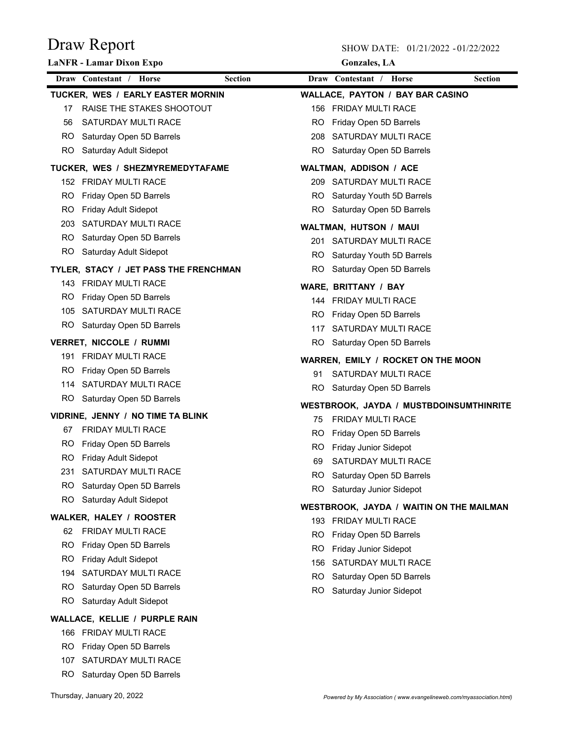|     | <b>LaNFR</b> - Lamar Dixon Expo           |           | <b>Gonzales</b> , LA                            |                |
|-----|-------------------------------------------|-----------|-------------------------------------------------|----------------|
|     | Draw Contestant / Horse<br><b>Section</b> |           | Draw Contestant / Horse                         | <b>Section</b> |
|     | TUCKER, WES / EARLY EASTER MORNIN         |           | <b>WALLACE, PAYTON / BAY BAR CASINO</b>         |                |
| 17  | RAISE THE STAKES SHOOTOUT                 |           | 156 FRIDAY MULTI RACE                           |                |
| 56  | SATURDAY MULTI RACE                       | RO.       | Friday Open 5D Barrels                          |                |
|     | RO Saturday Open 5D Barrels               |           | 208 SATURDAY MULTI RACE                         |                |
|     | RO Saturday Adult Sidepot                 |           | RO Saturday Open 5D Barrels                     |                |
|     | TUCKER, WES / SHEZMYREMEDYTAFAME          |           | WALTMAN, ADDISON / ACE                          |                |
|     | 152 FRIDAY MULTI RACE                     |           | 209 SATURDAY MULTI RACE                         |                |
| RO. | Friday Open 5D Barrels                    |           | RO Saturday Youth 5D Barrels                    |                |
| RO. | Friday Adult Sidepot                      |           | RO Saturday Open 5D Barrels                     |                |
|     | 203 SATURDAY MULTI RACE                   |           | WALTMAN, HUTSON / MAUI                          |                |
|     | RO Saturday Open 5D Barrels               |           | 201 SATURDAY MULTI RACE                         |                |
|     | RO Saturday Adult Sidepot                 |           | RO Saturday Youth 5D Barrels                    |                |
|     | TYLER, STACY / JET PASS THE FRENCHMAN     | RO.       | Saturday Open 5D Barrels                        |                |
|     | 143 FRIDAY MULTI RACE                     |           | WARE, BRITTANY / BAY                            |                |
| RO. | Friday Open 5D Barrels                    |           | 144 FRIDAY MULTI RACE                           |                |
|     | 105 SATURDAY MULTI RACE                   | RO.       | Friday Open 5D Barrels                          |                |
|     | RO Saturday Open 5D Barrels               |           | 117 SATURDAY MULTI RACE                         |                |
|     | VERRET, NICCOLE / RUMMI                   | RO.       | Saturday Open 5D Barrels                        |                |
|     | 191 FRIDAY MULTI RACE                     |           | WARREN, EMILY / ROCKET ON THE MOON              |                |
| RO. | Friday Open 5D Barrels                    | 91        | SATURDAY MULTI RACE                             |                |
|     | 114 SATURDAY MULTI RACE                   | RO.       | Saturday Open 5D Barrels                        |                |
|     | RO Saturday Open 5D Barrels               |           | WESTBROOK, JAYDA / MUSTBDOINSUMTHINRITE         |                |
|     | VIDRINE, JENNY / NO TIME TA BLINK         | 75        | <b>FRIDAY MULTI RACE</b>                        |                |
| 67  | <b>FRIDAY MULTI RACE</b>                  | RO.       | Friday Open 5D Barrels                          |                |
| RO. | Friday Open 5D Barrels                    |           | RO Friday Junior Sidepot                        |                |
| RO. | Friday Adult Sidepot                      | 69        | SATURDAY MULTI RACE                             |                |
| 231 | SATURDAY MULTI RACE                       | <b>RO</b> | Saturday Open 5D Barrels                        |                |
| RO. | Saturday Open 5D Barrels                  | RO.       | Saturday Junior Sidepot                         |                |
| RO. | Saturday Adult Sidepot                    |           | <b>WESTBROOK, JAYDA / WAITIN ON THE MAILMAN</b> |                |
|     | <b>WALKER, HALEY / ROOSTER</b>            |           | 193 FRIDAY MULTI RACE                           |                |
| 62  | <b>FRIDAY MULTI RACE</b>                  | RO.       | Friday Open 5D Barrels                          |                |
| RO. | Friday Open 5D Barrels                    | RO.       | Friday Junior Sidepot                           |                |
| RO. | <b>Friday Adult Sidepot</b>               | 156       | SATURDAY MULTI RACE                             |                |
| 194 | SATURDAY MULTI RACE                       | RO.       | Saturday Open 5D Barrels                        |                |
| RO. | Saturday Open 5D Barrels                  | RO.       | Saturday Junior Sidepot                         |                |
| RO. | Saturday Adult Sidepot                    |           |                                                 |                |
|     | WALLACE, KELLIE / PURPLE RAIN             |           |                                                 |                |
|     | 166 FRIDAY MULTI RACE                     |           |                                                 |                |
| RO. | Friday Open 5D Barrels                    |           |                                                 |                |
| 107 | SATURDAY MULTI RACE                       |           |                                                 |                |
| RO. | Saturday Open 5D Barrels                  |           |                                                 |                |